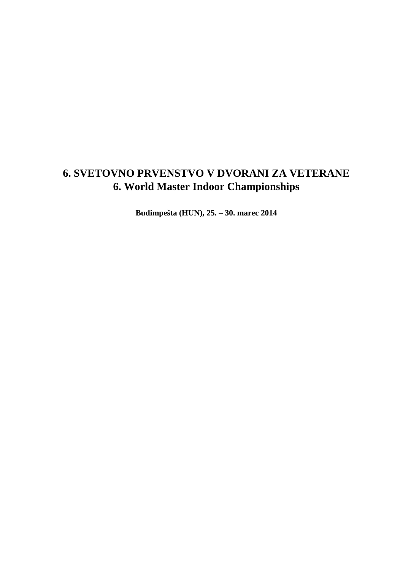# **6. SVETOVNO PRVENSTVO V DVORANI ZA VETERANE 6. World Master Indoor Championships**

**Budimpešta (HUN), 25. – 30. marec 2014**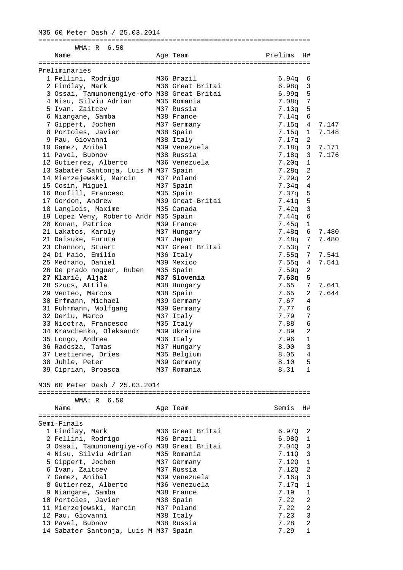# M35 60 Meter Dash / 25.03.2014

| WMA: R 6.50                                 |                  |         |                |       |
|---------------------------------------------|------------------|---------|----------------|-------|
| Name                                        | Age Team         | Prelims | H#             |       |
|                                             |                  |         |                |       |
| Preliminaries                               |                  |         |                |       |
| 1 Fellini, Rodrigo                          | M36 Brazil       | 6.94q   | 6              |       |
| 2 Findlay, Mark                             | M36 Great Britai | 6.98q   | 3              |       |
| 3 Ossai, Tamunonengiye-ofo M38 Great Britai |                  | 6.99q   | 5              |       |
| 4 Nisu, Silviu Adrian                       | M35 Romania      | 7.08q   | 7              |       |
| 5 Ivan, Zaitcev                             | M37 Russia       | 7.13q   | 5              |       |
| 6 Niangane, Samba                           | M38 France       | 7.14q   | 6              |       |
| 7 Gippert, Jochen                           | M37 Germany      | 7.15q   | 4              | 7.147 |
| 8 Portoles, Javier                          | M38 Spain        | 7.15q   | 1              | 7.148 |
| 9 Pau, Giovanni                             | M38 Italy        | 7.17q   | 2              |       |
| 10 Gamez, Anibal                            | M39 Venezuela    | 7.18q   | $\mathbf{3}$   | 7.171 |
| 11 Pavel, Bubnov                            | M38 Russia       | 7.18q   | 3              | 7.176 |
| 12 Gutierrez, Alberto                       | M36 Venezuela    | 7.20q   | $1\,$          |       |
| 13 Sabater Santonja, Luis M M37 Spain       |                  | 7.28q   | $\overline{c}$ |       |
| 14 Mierzejewski, Marcin M37 Poland          |                  | 7.29q   | $\overline{c}$ |       |
| 15 Cosin, Miquel                            | M37 Spain        | 7.34q   | 4              |       |
| 16 Bonfill, Francesc                        | M35 Spain        | 7.37q   | 5              |       |
| 17 Gordon, Andrew                           | M39 Great Britai |         | 5              |       |
|                                             |                  | 7.41q   |                |       |
| 18 Langlois, Maxime                         | M35 Canada       | 7.42q   | $\mathbf{3}$   |       |
| 19 Lopez Veny, Roberto Andr M35 Spain       |                  | 7.44q   | $\sqrt{6}$     |       |
| 20 Konan, Patrice                           | M39 France       | 7.45q   | $\mathbf{1}$   |       |
| 21 Lakatos, Karoly                          | M37 Hungary      | 7.48q   | 6              | 7.480 |
| 21 Daisuke, Furuta                          | M37 Japan        | 7.48q   | 7              | 7.480 |
| 23 Channon, Stuart                          | M37 Great Britai | 7.53q   | 7              |       |
| 24 Di Maio, Emilio                          | M36 Italy        | 7.55q   | 7              | 7.541 |
| 25 Medrano, Daniel                          | M39 Mexico       | 7.55q   | 4              | 7.541 |
| 26 De prado noguer, Ruben M35 Spain         |                  | 7.59q   | 2              |       |
| 27 Klarič, Aljaž                            | M37 Slovenia     | 7.63q   | 5              |       |
| 28 Szucs, Attila                            | M38 Hungary      | 7.65    | 7              | 7.641 |
| 29 Venteo, Marcos                           | M38 Spain        | 7.65    | 2              | 7.644 |
| 30 Erfmann, Michael                         | M39 Germany      | 7.67    | 4              |       |
| 31 Fuhrmann, Wolfgang                       | M39 Germany      | 7.77    | 6              |       |
| 32 Deriu, Marco                             | M37 Italy        | 7.79    | 7              |       |
|                                             |                  |         |                |       |
| 33 Nicotra, Francesco                       | M35 Italy        | 7.88    | 6              |       |
| 34 Kravchenko, Oleksandr                    | M39 Ukraine      | 7.89    | $\overline{c}$ |       |
| 35 Longo, Andrea                            | M36 Italy        | 7.96    | $\mathbf 1$    |       |
| 36 Radosza, Tamas                           | M37 Hungary      | 8.00    | 3              |       |
| 37 Lestienne, Dries                         | M35 Belgium      | 8.05    | 4              |       |
| 38 Juhle, Peter                             | M39 Germany      | 8.10    | 5              |       |
| 39 Ciprian, Broasca                         | M37 Romania      | 8.31    | 1              |       |
|                                             |                  |         |                |       |
| M35 60 Meter Dash / 25.03.2014              |                  |         |                |       |
|                                             |                  |         |                |       |
| WMA: R 6.50                                 |                  |         |                |       |
| Name                                        | Age Team         | Semis   | H#             |       |
|                                             |                  |         |                |       |
| Semi-Finals                                 |                  |         |                |       |
| 1 Findlay, Mark                             | M36 Great Britai | 6.97Q   | 2              |       |
| 2 Fellini, Rodrigo                          | M36 Brazil       | 6.98Q   | $\mathbf{1}$   |       |
|                                             |                  |         |                |       |
| 3 Ossai, Tamunonengiye-ofo M38 Great Britai |                  | 7.040   | $\mathbf{3}$   |       |
| 4 Nisu, Silviu Adrian                       | M35 Romania      | 7.110   | 3              |       |
| 5 Gippert, Jochen                           | M37 Germany      | 7.120   | $\mathbf{1}$   |       |
| 6 Ivan, Zaitcev                             | M37 Russia       | 7.12Q   | 2              |       |
| 7 Gamez, Anibal                             | M39 Venezuela    | 7.16q   | 3              |       |
| 8 Gutierrez, Alberto                        | M36 Venezuela    | 7.17q   | 1              |       |
| 9 Niangane, Samba                           | M38 France       | 7.19    | $\mathbf{1}$   |       |
| 10 Portoles, Javier                         | M38 Spain        | 7.22    | 2              |       |
| 11 Mierzejewski, Marcin                     | M37 Poland       | 7.22    | $\mathbf{2}$   |       |
| 12 Pau, Giovanni                            | M38 Italy        | 7.23    | 3              |       |
| 13 Pavel, Bubnov                            | M38 Russia       | 7.28    | 2              |       |
|                                             |                  |         |                |       |
| 14 Sabater Santonja, Luis M M37 Spain       |                  | 7.29    | 1              |       |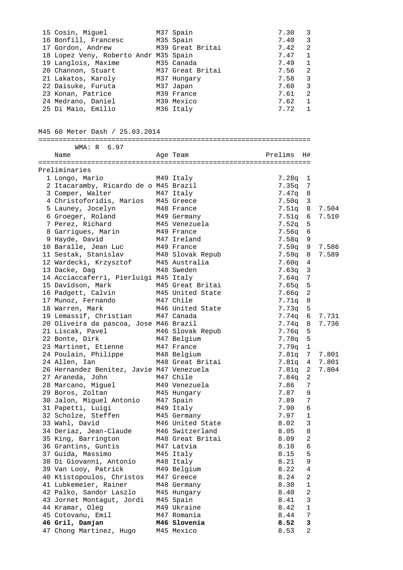|                                           |                  | 7.30          |                |       |
|-------------------------------------------|------------------|---------------|----------------|-------|
| 15 Cosin, Miguel                          | M37 Spain        |               | 3              |       |
| 16 Bonfill, Francesc                      | M35 Spain        | 7.40          | 3              |       |
| 17 Gordon, Andrew                         | M39 Great Britai | 7.42          | 2              |       |
| 18 Lopez Veny, Roberto Andr M35 Spain     |                  | 7.47          | $\mathbf{1}$   |       |
| 19 Langlois, Maxime                       | M35 Canada       | 7.49          | $\mathbf{1}$   |       |
| 20 Channon, Stuart                        | M37 Great Britai | 7.56          | $\overline{a}$ |       |
|                                           |                  | 7.58          | $\mathbf{3}$   |       |
| 21 Lakatos, Karoly                        | M37 Hungary      |               |                |       |
| 22 Daisuke, Furuta                        | M37 Japan        | 7.60          | $\mathbf{3}$   |       |
| 23 Konan, Patrice                         | M39 France       | 7.61          | 2              |       |
| 24 Medrano, Daniel                        | M39 Mexico       | 7.62          | 1              |       |
| 25 Di Maio, Emilio                        | M36 Italy        | 7.72          | $\mathbf{1}$   |       |
|                                           |                  |               |                |       |
|                                           |                  |               |                |       |
|                                           |                  |               |                |       |
| M45 60 Meter Dash / 25.03.2014            |                  |               |                |       |
|                                           |                  |               |                |       |
| WMA: R 6.97                               |                  |               |                |       |
| Name                                      | Age Team         | Prelims H#    |                |       |
|                                           |                  |               |                |       |
| Preliminaries                             |                  |               |                |       |
|                                           |                  |               |                |       |
| 1 Longo, Mario                            | M49 Italy        | $7.28q$ 1     |                |       |
| 2 Itacaramby, Ricardo de o M45 Brazil     |                  | $7.35q$ 7     |                |       |
| 3 Comper, Walter                          | M47 Italy        | $7.47q$ 8     |                |       |
| 4 Christoforidis, Marios                  | M45 Greece       | $7.50q$ 3     |                |       |
| 5 Launey, Jocelyn                         | M48 France       | $7.51q$ 8     |                | 7.504 |
|                                           |                  |               |                |       |
| 6 Groeger, Roland                         | M49 Germany      | 7.51q 6       |                | 7.510 |
| 7 Perez, Richard                          | M45 Venezuela    | $7.52q$ 5     |                |       |
| 8 Garrigues, Marin                        | M49 France       | 7.56q 6       |                |       |
| 9 Hayde, David                            | M47 Ireland      | 7.58q 9       |                |       |
| 10 Baralle, Jean Luc                      | M49 France       | 7.59q 9 7.586 |                |       |
| 11 Sestak, Stanislav                      | M48 Slovak Repub | 7.59q 8       |                | 7.589 |
|                                           |                  |               |                |       |
| 12 Wardecki, Krzysztof                    | M45 Australia    | $7.60q$ 4     |                |       |
| 13 Dacke, Dag                             | M48 Sweden       | $7.63q$ 3     |                |       |
| 14 Acciaccaferri, Pierluigi M45 Italy     |                  | 7.64q 7       |                |       |
| 15 Davidson, Mark                         | M45 Great Britai | 7.65q 5       |                |       |
| 16 Padgett, Calvin                        | M45 United State | $7.66q$ 2     |                |       |
| 17 Munoz, Fernando                        | M47 Chile        | 7.71q 8       |                |       |
| 18 Warren, Mark                           |                  |               |                |       |
|                                           | M46 United State | $7.73q$ 5     |                |       |
| 19 Lemassif, Christian                    | M47 Canada       | 7.74q 6 7.731 |                |       |
| 20 Oliveira da pascoa, Jose M46 Brazil    |                  | 7.74q 8       |                | 7.736 |
| 21 Liscak, Pavel M46 Slovak Repub         |                  | 7.76q         | 5              |       |
| 22 Bonte, Dirk                            | M47 Belgium      | 7.78q         | 5              |       |
| 23 Martinet, Etienne                      | M47 France       | 7.79q 1       |                |       |
| 24 Poulain, Philippe                      | M48 Belgium      | 7.81q 7       |                | 7.801 |
|                                           |                  |               |                |       |
| 24 Allen, Ian                             | M48 Great Britai | 7.81q 4 7.801 |                |       |
| 26 Hernandez Benitez, Javie M47 Venezuela |                  | 7.81q 2       |                | 7.804 |
| 27 Araneda, John                          | M47 Chile        | 7.84q         | 2              |       |
| 28 Marcano, Miguel                        | M49 Venezuela    | 7.86          | 7              |       |
| 29 Boros, Zoltan                          | M45 Hungary      | 7.87          | 9              |       |
| 30 Jalon, Miguel Antonio                  | M47 Spain        | 7.89          | 7              |       |
| 31 Papetti, Luigi                         | M49 Italy        | 7.90          | 6              |       |
|                                           |                  |               |                |       |
| 32 Scholze, Steffen                       | M45 Germany      | 7.97          | $\mathbf{1}$   |       |
| 33 Wahl, David                            | M46 United State | 8.02          | $\mathbf{3}$   |       |
| 34 Deriaz, Jean-Claude                    | M46 Switzerland  | 8.05          | $\,8\,$        |       |
| 35 King, Barrington                       | M48 Great Britai | 8.09          | $\sqrt{2}$     |       |
| 36 Grantins, Guntis                       | M47 Latvia       | 8.10          | $\epsilon$     |       |
|                                           |                  |               |                |       |
| 37 Guida, Massimo                         | M45 Italy        | 8.15          | 5              |       |
| 38 Di Giovanni, Antonio                   | M48 Italy        | 8.21          | 9              |       |
| 39 Van Looy, Patrick                      | M49 Belgium      | 8.22          | 4              |       |
| 40 Ktistopoulos, Christos                 | M47 Greece       | 8.24          | 2              |       |
| 41 Lubkemeier, Rainer                     | M48 Germany      | 8.30          | $\mathbf{1}$   |       |
| 42 Palko, Sandor Laszlo                   | M45 Hungary      | 8.40          | $\sqrt{2}$     |       |
|                                           |                  |               |                |       |
| 43 Jornet Montagut, Jordi                 | M45 Spain        | 8.41          | $\mathbf{3}$   |       |
| 44 Kramar, Oleg                           | M49 Ukraine      | 8.42          | $1\,$          |       |
| 45 Cotovanu, Emil                         | M47 Romania      | 8.44          | 7              |       |
| 46 Gril, Damjan                           | M46 Slovenia     | 8.52          | 3              |       |
| 47 Chong Martinez, Hugo                   | M45 Mexico       | 8.53          | 2              |       |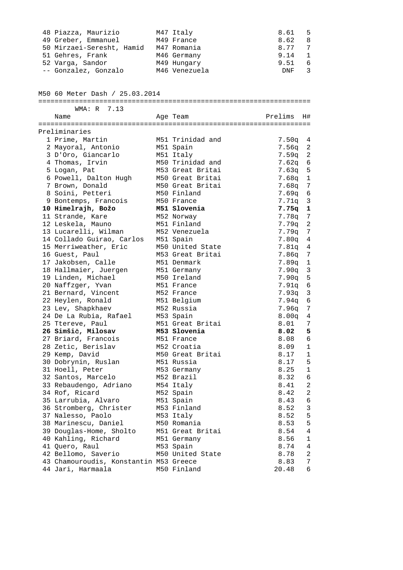| 48 Piazza, Maurizio                    | M47 Italy        | 8.61              | 5                 |
|----------------------------------------|------------------|-------------------|-------------------|
| 49 Greber, Emmanuel                    | M49 France       | 8.62              | 8                 |
| 50 Mirzaei-Seresht, Hamid              | M47 Romania      | 8.77              | 7                 |
| 51 Gehres, Frank                       | M46 Germany      | 9.14              | 1                 |
| 52 Varga, Sandor                       | M49 Hungary      | 9.51              | 6                 |
| -- Gonzalez, Gonzalo                   | M46 Venezuela    | DNF               | 3                 |
| M50 60 Meter Dash / 25.03.2014         |                  |                   |                   |
| WMA: R 7.13                            |                  |                   |                   |
| Name                                   | Age Team         | Prelims           | H#                |
| Preliminaries                          |                  |                   |                   |
| 1 Prime, Martin                        | M51 Trinidad and | $7.50q$ 4         |                   |
| 2 Mayoral, Antonio                     | M51 Spain        | 7.56q             | 2                 |
| 3 D'Oro, Giancarlo                     | M51 Italy        | 7.59q             | 2                 |
| 4 Thomas, Irvin                        | M50 Trinidad and | 7.62q             | 6                 |
| 5 Logan, Pat                           | M53 Great Britai | 7.63q             | 5                 |
| 6 Powell, Dalton Hugh                  | M50 Great Britai | $7.68q$ 1         |                   |
| 7 Brown, Donald                        | M50 Great Britai | 7.68q             | 7                 |
| 8 Soini, Petteri                       | M50 Finland      | 7.69a             | 6                 |
| 9 Bontemps, Francois                   | M50 France       | 7.71q             | 3                 |
| 10 Himelrajh, Božo                     | M51 Slovenia     | 7.75q             | 1                 |
| 11 Strande, Kare                       | M52 Norway       | 7.78q             | 7                 |
| 12 Leskela, Mauno                      | M51 Finland      | 7.79q             | 2                 |
| 13 Lucarelli, Wilman                   | M52 Venezuela    | 7.79q             | 7                 |
| 14 Collado Guirao, Carlos              | M51 Spain        | $7.80q$ 4         |                   |
| 15 Merriweather, Eric                  | M50 United State | 7.81q 4           |                   |
| 16 Guest, Paul                         | M53 Great Britai |                   |                   |
|                                        |                  | 7.86q             | 7                 |
| 17 Jakobsen, Calle                     | M51 Denmark      | $7.89q$ 1         |                   |
| 18 Hallmaier, Juergen                  | M51 Germany      | 7.90q             | 3                 |
| 19 Linden, Michael                     | M50 Ireland      | 7.90q             | 5                 |
| 20 Naffzger, Yvan                      | M51 France       | 7.91q             |                   |
| 21 Bernard, Vincent                    | M52 France       | 7.93q             | 3                 |
| 22 Heylen, Ronald                      | M51 Belgium      | $7.94q$ 6         |                   |
| 23 Lev, Shapkhaev                      | M52 Russia       | 7.96q             |                   |
| 24 De La Rubia, Rafael                 | M53 Spain        | 8.00 <sub>q</sub> |                   |
| 25 Ttereve, Paul                       | M51 Great Britai | 8.01              |                   |
| 26 Simšič, Milosav                     | M53 Slovenia     | 8.02              |                   |
| 27 Briard, Francois                    | M51 France       | 8.08              |                   |
| 28 Zetic, Berislav                     | M52 Croatia      | 8.09              |                   |
| 29 Kemp, David                         | M50 Great Britai | 8.17              |                   |
| 30 Dobrynin, Ruslan                    | M51 Russia       | 8.17              | 5                 |
| 31 Hoell, Peter                        | M53 Germany      | 8.25              | $\mathbf{1}$<br>6 |
| 32 Santos, Marcelo                     | M52 Brazil       | 8.32              |                   |
| 33 Rebaudengo, Adriano                 | M54 Italy        | 8.41              |                   |
| 34 Rof, Ricard                         | M52 Spain        | 8.42              |                   |
| 35 Larrubia, Alvaro                    | M51 Spain        | 8.43              |                   |
| 36 Stromberg, Christer                 | M53 Finland      | 8.52              |                   |
| 37 Nalesso, Paolo                      | M53 Italy        | 8.52              |                   |
| 38 Marinescu, Daniel                   | M50 Romania      | 8.53              |                   |
| 39 Douglas-Home, Sholto                | M51 Great Britai | 8.54              |                   |
| 40 Kahling, Richard                    | M51 Germany      | 8.56              |                   |
| 41 Quero, Raul                         | M53 Spain        | 8.74              |                   |
| 42 Bellomo, Saverio                    | M50 United State | 8.78              |                   |
| 43 Chamouroudis, Konstantin M53 Greece |                  | 8.83              |                   |
| 44 Jari, Harmaala                      | M50 Finland      | 20.48             |                   |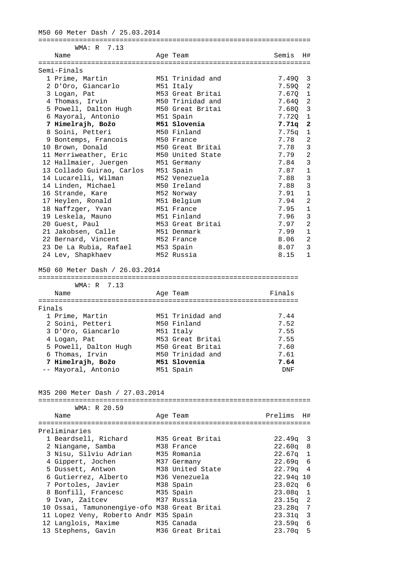M50 60 Meter Dash / 25.03.2014

| Age Team<br>Name<br>Semi-Finals<br>1 Prime, Martin<br>M51 Trinidad and<br>2 D'Oro, Giancarlo<br>M51 Italy<br>M53 Great Britai<br>3 Logan, Pat<br>M50 Trinidad and<br>4 Thomas, Irvin<br>5 Powell, Dalton Hugh<br>M50 Great Britai<br>6 Mayoral, Antonio<br>M51 Spain<br>M51 Slovenia<br>7 Himelrajh, Božo<br>8 Soini, Petteri<br>M50 Finland<br>9 Bontemps, Francois<br>M50 France<br>10 Brown, Donald<br>M50 Great Britai<br>11 Merriweather, Eric<br>M50 United State<br>12 Hallmaier, Juergen<br>M51 Germany<br>13 Collado Guirao, Carlos<br>M51 Spain<br>14 Lucarelli, Wilman<br>M52 Venezuela<br>14 Linden, Michael<br>M50 Ireland<br>16 Strande, Kare<br>M52 Norway<br>17 Heylen, Ronald<br>M51 Belgium<br>18 Naffzger, Yvan<br>M51 France<br>19 Leskela, Mauno<br>M51 Finland<br>20 Guest, Paul<br>M53 Great Britai<br>21 Jakobsen, Calle<br>M51 Denmark<br>22 Bernard, Vincent<br>M52 France<br>23 De La Rubia, Rafael<br>M53 Spain<br>24 Lev, Shapkhaev<br>M52 Russia<br>M50 60 Meter Dash / 26.03.2014 | Semis<br>7.49Q<br>7.59Q<br>7.670<br>7.640<br>7.68Q<br>7.72Q<br>7.71q<br>7.75q<br>7.78<br>7.78<br>7.79<br>7.84<br>7.87<br>7.88<br>7.88<br>7.91<br>7.94<br>7.95<br>7.96<br>7.97 |
|------------------------------------------------------------------------------------------------------------------------------------------------------------------------------------------------------------------------------------------------------------------------------------------------------------------------------------------------------------------------------------------------------------------------------------------------------------------------------------------------------------------------------------------------------------------------------------------------------------------------------------------------------------------------------------------------------------------------------------------------------------------------------------------------------------------------------------------------------------------------------------------------------------------------------------------------------------------------------------------------------------------|-------------------------------------------------------------------------------------------------------------------------------------------------------------------------------|
|                                                                                                                                                                                                                                                                                                                                                                                                                                                                                                                                                                                                                                                                                                                                                                                                                                                                                                                                                                                                                  |                                                                                                                                                                               |
|                                                                                                                                                                                                                                                                                                                                                                                                                                                                                                                                                                                                                                                                                                                                                                                                                                                                                                                                                                                                                  |                                                                                                                                                                               |
|                                                                                                                                                                                                                                                                                                                                                                                                                                                                                                                                                                                                                                                                                                                                                                                                                                                                                                                                                                                                                  |                                                                                                                                                                               |
|                                                                                                                                                                                                                                                                                                                                                                                                                                                                                                                                                                                                                                                                                                                                                                                                                                                                                                                                                                                                                  |                                                                                                                                                                               |
|                                                                                                                                                                                                                                                                                                                                                                                                                                                                                                                                                                                                                                                                                                                                                                                                                                                                                                                                                                                                                  |                                                                                                                                                                               |
|                                                                                                                                                                                                                                                                                                                                                                                                                                                                                                                                                                                                                                                                                                                                                                                                                                                                                                                                                                                                                  |                                                                                                                                                                               |
|                                                                                                                                                                                                                                                                                                                                                                                                                                                                                                                                                                                                                                                                                                                                                                                                                                                                                                                                                                                                                  |                                                                                                                                                                               |
|                                                                                                                                                                                                                                                                                                                                                                                                                                                                                                                                                                                                                                                                                                                                                                                                                                                                                                                                                                                                                  |                                                                                                                                                                               |
|                                                                                                                                                                                                                                                                                                                                                                                                                                                                                                                                                                                                                                                                                                                                                                                                                                                                                                                                                                                                                  |                                                                                                                                                                               |
|                                                                                                                                                                                                                                                                                                                                                                                                                                                                                                                                                                                                                                                                                                                                                                                                                                                                                                                                                                                                                  |                                                                                                                                                                               |
|                                                                                                                                                                                                                                                                                                                                                                                                                                                                                                                                                                                                                                                                                                                                                                                                                                                                                                                                                                                                                  |                                                                                                                                                                               |
|                                                                                                                                                                                                                                                                                                                                                                                                                                                                                                                                                                                                                                                                                                                                                                                                                                                                                                                                                                                                                  |                                                                                                                                                                               |
|                                                                                                                                                                                                                                                                                                                                                                                                                                                                                                                                                                                                                                                                                                                                                                                                                                                                                                                                                                                                                  |                                                                                                                                                                               |
|                                                                                                                                                                                                                                                                                                                                                                                                                                                                                                                                                                                                                                                                                                                                                                                                                                                                                                                                                                                                                  |                                                                                                                                                                               |
|                                                                                                                                                                                                                                                                                                                                                                                                                                                                                                                                                                                                                                                                                                                                                                                                                                                                                                                                                                                                                  |                                                                                                                                                                               |
|                                                                                                                                                                                                                                                                                                                                                                                                                                                                                                                                                                                                                                                                                                                                                                                                                                                                                                                                                                                                                  |                                                                                                                                                                               |
|                                                                                                                                                                                                                                                                                                                                                                                                                                                                                                                                                                                                                                                                                                                                                                                                                                                                                                                                                                                                                  |                                                                                                                                                                               |
|                                                                                                                                                                                                                                                                                                                                                                                                                                                                                                                                                                                                                                                                                                                                                                                                                                                                                                                                                                                                                  |                                                                                                                                                                               |
|                                                                                                                                                                                                                                                                                                                                                                                                                                                                                                                                                                                                                                                                                                                                                                                                                                                                                                                                                                                                                  |                                                                                                                                                                               |
|                                                                                                                                                                                                                                                                                                                                                                                                                                                                                                                                                                                                                                                                                                                                                                                                                                                                                                                                                                                                                  |                                                                                                                                                                               |
|                                                                                                                                                                                                                                                                                                                                                                                                                                                                                                                                                                                                                                                                                                                                                                                                                                                                                                                                                                                                                  |                                                                                                                                                                               |
|                                                                                                                                                                                                                                                                                                                                                                                                                                                                                                                                                                                                                                                                                                                                                                                                                                                                                                                                                                                                                  |                                                                                                                                                                               |
|                                                                                                                                                                                                                                                                                                                                                                                                                                                                                                                                                                                                                                                                                                                                                                                                                                                                                                                                                                                                                  | 7.99                                                                                                                                                                          |
|                                                                                                                                                                                                                                                                                                                                                                                                                                                                                                                                                                                                                                                                                                                                                                                                                                                                                                                                                                                                                  | 8.06                                                                                                                                                                          |
|                                                                                                                                                                                                                                                                                                                                                                                                                                                                                                                                                                                                                                                                                                                                                                                                                                                                                                                                                                                                                  | 8.07                                                                                                                                                                          |
|                                                                                                                                                                                                                                                                                                                                                                                                                                                                                                                                                                                                                                                                                                                                                                                                                                                                                                                                                                                                                  | 8.15                                                                                                                                                                          |
| Finals<br>Name<br>Age Team                                                                                                                                                                                                                                                                                                                                                                                                                                                                                                                                                                                                                                                                                                                                                                                                                                                                                                                                                                                       |                                                                                                                                                                               |
| Finals                                                                                                                                                                                                                                                                                                                                                                                                                                                                                                                                                                                                                                                                                                                                                                                                                                                                                                                                                                                                           |                                                                                                                                                                               |
| M51 Trinidad and<br>1 Prime, Martin                                                                                                                                                                                                                                                                                                                                                                                                                                                                                                                                                                                                                                                                                                                                                                                                                                                                                                                                                                              | 7.44                                                                                                                                                                          |
| 2 Soini, Petteri<br>M50 Finland                                                                                                                                                                                                                                                                                                                                                                                                                                                                                                                                                                                                                                                                                                                                                                                                                                                                                                                                                                                  | 7.52                                                                                                                                                                          |
| 3 D'Oro, Giancarlo<br>M51 Italy                                                                                                                                                                                                                                                                                                                                                                                                                                                                                                                                                                                                                                                                                                                                                                                                                                                                                                                                                                                  | 7.55                                                                                                                                                                          |
| 4 Logan, Pat<br>M53 Great Britai                                                                                                                                                                                                                                                                                                                                                                                                                                                                                                                                                                                                                                                                                                                                                                                                                                                                                                                                                                                 | 7.55                                                                                                                                                                          |
| 5 Powell, Dalton Hugh<br>M50 Great Britai                                                                                                                                                                                                                                                                                                                                                                                                                                                                                                                                                                                                                                                                                                                                                                                                                                                                                                                                                                        | 7.60                                                                                                                                                                          |
| 6 Thomas, Irvin<br>M50 Trinidad and                                                                                                                                                                                                                                                                                                                                                                                                                                                                                                                                                                                                                                                                                                                                                                                                                                                                                                                                                                              | 7.61                                                                                                                                                                          |
| 7 Himelrajh, Božo<br>M51 Slovenia                                                                                                                                                                                                                                                                                                                                                                                                                                                                                                                                                                                                                                                                                                                                                                                                                                                                                                                                                                                | 7.64                                                                                                                                                                          |
| -- Mayoral, Antonio<br>M51 Spain                                                                                                                                                                                                                                                                                                                                                                                                                                                                                                                                                                                                                                                                                                                                                                                                                                                                                                                                                                                 | DNF                                                                                                                                                                           |
| M35 200 Meter Dash / 27.03.2014                                                                                                                                                                                                                                                                                                                                                                                                                                                                                                                                                                                                                                                                                                                                                                                                                                                                                                                                                                                  |                                                                                                                                                                               |
| WMA: R 20.59                                                                                                                                                                                                                                                                                                                                                                                                                                                                                                                                                                                                                                                                                                                                                                                                                                                                                                                                                                                                     |                                                                                                                                                                               |
| Prelims<br>Name<br>Age Team                                                                                                                                                                                                                                                                                                                                                                                                                                                                                                                                                                                                                                                                                                                                                                                                                                                                                                                                                                                      |                                                                                                                                                                               |
| Preliminaries                                                                                                                                                                                                                                                                                                                                                                                                                                                                                                                                                                                                                                                                                                                                                                                                                                                                                                                                                                                                    |                                                                                                                                                                               |
| 1 Beardsell, Richard<br>M35 Great Britai                                                                                                                                                                                                                                                                                                                                                                                                                                                                                                                                                                                                                                                                                                                                                                                                                                                                                                                                                                         |                                                                                                                                                                               |
|                                                                                                                                                                                                                                                                                                                                                                                                                                                                                                                                                                                                                                                                                                                                                                                                                                                                                                                                                                                                                  |                                                                                                                                                                               |
|                                                                                                                                                                                                                                                                                                                                                                                                                                                                                                                                                                                                                                                                                                                                                                                                                                                                                                                                                                                                                  | $22.49q$ 3                                                                                                                                                                    |
| 2 Niangane, Samba<br>M38 France                                                                                                                                                                                                                                                                                                                                                                                                                                                                                                                                                                                                                                                                                                                                                                                                                                                                                                                                                                                  | 22.60q 8                                                                                                                                                                      |
| 3 Nisu, Silviu Adrian<br>M35 Romania                                                                                                                                                                                                                                                                                                                                                                                                                                                                                                                                                                                                                                                                                                                                                                                                                                                                                                                                                                             | $22.67q$ 1                                                                                                                                                                    |
| 4 Gippert, Jochen<br>M37 Germany                                                                                                                                                                                                                                                                                                                                                                                                                                                                                                                                                                                                                                                                                                                                                                                                                                                                                                                                                                                 | 22.69q                                                                                                                                                                        |
| M38 United State<br>5 Dussett, Antwon                                                                                                                                                                                                                                                                                                                                                                                                                                                                                                                                                                                                                                                                                                                                                                                                                                                                                                                                                                            | 22.79q 4                                                                                                                                                                      |
| 6 Gutierrez, Alberto<br>M36 Venezuela                                                                                                                                                                                                                                                                                                                                                                                                                                                                                                                                                                                                                                                                                                                                                                                                                                                                                                                                                                            | 22.94q 10                                                                                                                                                                     |
| 7 Portoles, Javier<br>M38 Spain                                                                                                                                                                                                                                                                                                                                                                                                                                                                                                                                                                                                                                                                                                                                                                                                                                                                                                                                                                                  | $23.02q$ 6                                                                                                                                                                    |
| 8 Bonfill, Francesc<br>M35 Spain                                                                                                                                                                                                                                                                                                                                                                                                                                                                                                                                                                                                                                                                                                                                                                                                                                                                                                                                                                                 | $23.08q$ 1                                                                                                                                                                    |
| 9 Ivan, Zaitcev<br>M37 Russia<br>10 Ossai, Tamunonengiye-ofo M38 Great Britai                                                                                                                                                                                                                                                                                                                                                                                                                                                                                                                                                                                                                                                                                                                                                                                                                                                                                                                                    | $23.15q$ 2<br>$23.28q$ 7                                                                                                                                                      |

 12 Langlois, Maxime M35 Canada 23.59q 6 13 Stephens, Gavin M36 Great Britai 23.70q 5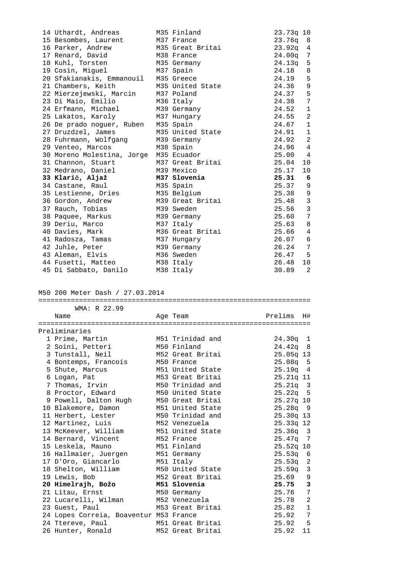| 14 Uthardt, Andreas M35 Finland        |                  | 23.73q 10  |    |
|----------------------------------------|------------------|------------|----|
| 15 Besombes, Laurent M37 France        |                  | $23.76q$ 8 |    |
| 16 Parker, Andrew                      | M35 Great Britai | $23.92q$ 4 |    |
| 17 Renard, David M38 France            |                  | 24.00g 7   |    |
| 18 Kuhl, Torsten                       | M35 Germany      | $24.13q$ 5 |    |
| 19 Cosin, Miguel                       | M37 Spain        | 24.18 8    |    |
| 20 Sfakianakis, Emmanouil              | M35 Greece       | 24.19 5    |    |
| 21 Chambers, Keith                     | M35 United State | 24.36 9    |    |
| 22 Mierzejewski, Marcin M37 Poland     |                  | 24.37 5    |    |
| 23 Di Maio, Emilio                     | M36 Italy        | 24.38 7    |    |
| 24 Erfmann, Michael                    | M39 Germany      | 24.52 1    |    |
| 25 Lakatos, Karoly 1937 Hungary        |                  | 24.55 2    |    |
| 26 De prado noguer, Ruben M35 Spain    |                  | 24.67 1    |    |
| 27 Druzdzel, James M35 United State    |                  | 24.91 1    |    |
| 28 Fuhrmann, Wolfgang M39 Germany      |                  | 24.92 2    |    |
| 29 Venteo, Marcos                      | M38 Spain        | 24.96 4    |    |
| 30 Moreno Molestina, Jorge M35 Ecuador |                  | 25.00 4    |    |
| 31 Channon, Stuart M37 Great Britai    |                  | 25.04      | 10 |
| 32 Medrano, Daniel                     | M39 Mexico       | 25.17      | 10 |
| 33 Klarič, Aljaž                       | M37 Slovenia     | $25.31\ 6$ |    |
| 34 Castane, Raul                       | M35 Spain        | 25.37 9    |    |
| 35 Lestienne, Dries                    | M35 Belgium      | 25.38 9    |    |
| 36 Gordon, Andrew                      | M39 Great Britai | 25.48 3    |    |
| 37 Rauch, Tobias                       | M39 Sweden       | 25.56 3    |    |
| 38 Paquee, Markus M39 Germany          |                  | 25.60 7    |    |
| 39 Deriu, Marco                        | M37 Italy        | 25.63 8    |    |
| 40 Davies, Mark                        | M36 Great Britai | 25.66 4    |    |
| 41 Radosza, Tamas                      | M37 Hungary      | 26.07 6    |    |
| 42 Juhle, Peter                        | M39 Germany      | 26.24 7    |    |
| 43 Aleman, Elvis M36 Sweden            |                  | 26.47 5    |    |
| 44 Fusetti, Matteo M38 Italy           |                  | 26.48 10   |    |
| 45 Di Sabbato, Danilo                  | M38 Italy        | 30.89      | 2  |

M50 200 Meter Dash / 27.03.2014

|  | WMA: R 22.99                           |  |                                       |                    |                |  |
|--|----------------------------------------|--|---------------------------------------|--------------------|----------------|--|
|  | Name                                   |  | Age Team                              | Prelims            | H#             |  |
|  | -------------------------------        |  | ------------------------------------- |                    |                |  |
|  | Preliminaries                          |  |                                       |                    |                |  |
|  | 1 Prime, Martin                        |  | M51 Trinidad and                      | $24.30q$ 1         |                |  |
|  | 2 Soini, Petteri                       |  | M50 Finland                           | $24.42q$ 8         |                |  |
|  | 3 Tunstall, Neil                       |  | M52 Great Britai                      | $25.05q$ 13        |                |  |
|  | 4 Bontemps, Francois                   |  | M50 France                            | $25.08q$ 5         |                |  |
|  | 5 Shute, Marcus                        |  | M51 United State                      | 25.19q 4           |                |  |
|  | 6 Logan, Pat                           |  | M53 Great Britai                      | $25.21q$ 11        |                |  |
|  | 7 Thomas, Irvin                        |  | M50 Trinidad and                      | $25.21q$ 3         |                |  |
|  | 8 Proctor, Edward                      |  | M50 United State                      | $25.22q$ 5         |                |  |
|  | 9 Powell, Dalton Hugh                  |  | M50 Great Britai                      | 25.27q 10          |                |  |
|  | 10 Blakemore, Damon                    |  | M51 United State                      | $25.28q$ 9         |                |  |
|  | 11 Herbert, Lester                     |  | M50 Trinidad and                      | 25.30q 13          |                |  |
|  | 12 Martinez, Luis                      |  | M52 Venezuela                         | 25.33q 12          |                |  |
|  | 13 McKeever, William                   |  | M51 United State                      | $25.36q$ 3         |                |  |
|  | 14 Bernard, Vincent                    |  | M52 France                            | 25.47 <sub>q</sub> | 7              |  |
|  | 15 Leskela, Mauno                      |  | M51 Finland                           | $25.52q$ 10        |                |  |
|  | 16 Hallmaier, Juergen                  |  | M51 Germany                           | $25.53q$ 6         |                |  |
|  | 17 D'Oro, Giancarlo                    |  | M51 Italy                             | $25.53q$ 2         |                |  |
|  | 18 Shelton, William                    |  | M50 United State                      | 25.59 <sub>q</sub> | $\overline{3}$ |  |
|  | 19 Lewis, Bob                          |  | M52 Great Britai                      | 25.69              | 9              |  |
|  | 20 Himelrajh, Božo                     |  | M51 Slovenia                          | 25.75              | 3              |  |
|  | 21 Litau, Ernst                        |  | M50 Germany                           | 25.76              | 7              |  |
|  | 22 Lucarelli, Wilman                   |  | M52 Venezuela                         | 25.78              | 2              |  |
|  | 23 Guest, Paul                         |  | M53 Great Britai                      | 25.82              | $\mathbf{1}$   |  |
|  | 24 Lopes Correia, Boaventur M53 France |  |                                       | 25.92              | 7              |  |
|  | 24 Ttereve, Paul                       |  | M51 Great Britai                      | 25.92              | 5              |  |
|  | 26 Hunter, Ronald                      |  | M52 Great Britai                      | 25.92              | 11             |  |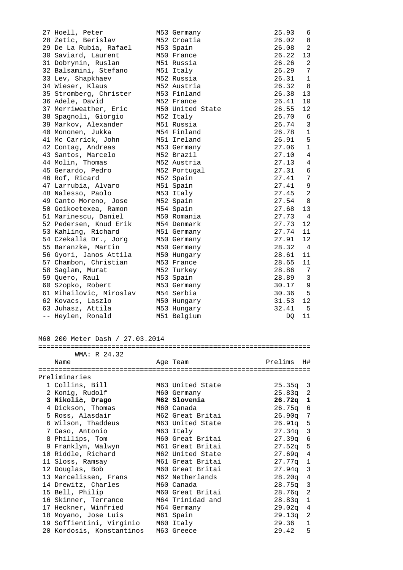| 27 Hoell, Peter         | M53 Germany      | 25.93 | 6              |
|-------------------------|------------------|-------|----------------|
| 28 Zetic, Berislav      | M52 Croatia      | 26.02 | 8              |
| 29 De La Rubia, Rafael  | M53 Spain        | 26.08 | 2              |
| 30 Saviard, Laurent     | M50 France       | 26.22 | 13             |
| 31 Dobrynin, Ruslan     | M51 Russia       | 26.26 | 2              |
| 32 Balsamini, Stefano   | M51 Italy        | 26.29 | 7              |
| 33 Lev, Shapkhaev       | M52 Russia       | 26.31 | 1              |
| 34 Wieser, Klaus        | M52 Austria      | 26.32 | - 8            |
| 35 Stromberg, Christer  | M53 Finland      | 26.38 | 13             |
| 36 Adele, David         | M52 France       | 26.41 | 10             |
| 37 Merriweather, Eric   | M50 United State | 26.55 | 12             |
| 38 Spagnoli, Giorgio    | M52 Italy        | 26.70 | 6              |
| 39 Markov, Alexander    | M51 Russia       | 26.74 | 3              |
| 40 Mononen, Jukka       | M54 Finland      | 26.78 | 1              |
| 41 Mc Carrick, John     | M51 Ireland      | 26.91 | 5              |
| 42 Contag, Andreas      | M53 Germany      | 27.06 | $\mathbf{1}$   |
| 43 Santos, Marcelo      | M52 Brazil       | 27.10 | $\overline{4}$ |
| 44 Molin, Thomas        | M52 Austria      | 27.13 | 4              |
| 45 Gerardo, Pedro       | M52 Portugal     | 27.31 | 6              |
| 46 Rof, Ricard          | M52 Spain        | 27.41 | 7              |
| 47 Larrubia, Alvaro     | M51 Spain        | 27.41 | 9              |
| 48 Nalesso, Paolo       | M53 Italy        | 27.45 | 2              |
| 49 Canto Moreno, Jose   | M52 Spain        | 27.54 | $_{\rm 8}$     |
| 50 Goikoetexea, Ramon   | M54 Spain        | 27.68 | 13             |
| 51 Marinescu, Daniel    | M50 Romania      | 27.73 | 4              |
| 52 Pedersen, Knud Erik  | M54 Denmark      | 27.73 | 12             |
| 53 Kahling, Richard     | M51 Germany      | 27.74 | 11             |
| 54 Czekalla Dr., Jorg   | M50 Germany      | 27.91 | 12             |
| 55 Baranzke, Martin     | M50 Germany      | 28.32 | $\overline{4}$ |
| 56 Gyori, Janos Attila  | M50 Hungary      | 28.61 | 11             |
| 57 Chambon, Christian   | M53 France       | 28.65 | 11             |
| 58 Saglam, Murat        | M52 Turkey       | 28.86 | 7              |
| 59 Quero, Raul          | M53 Spain        | 28.89 | 3              |
| 60 Szopko, Robert       | M53 Germany      | 30.17 | 9              |
| 61 Mihailovic, Miroslav | M54 Serbia       | 30.36 | $-5$           |
| 62 Kovacs, Laszlo       | M50 Hungary      | 31.53 | 12             |
| 63 Juhasz, Attila       | M53 Hungary      | 32.41 | $-5$           |
| -- Heylen, Ronald       | M51 Belgium      | DO.   | 11             |

# M60 200 Meter Dash / 27.03.2014

| WMA: R 24.32              |                  |            |              |
|---------------------------|------------------|------------|--------------|
| Name                      | Age Team         | Prelims    | H#           |
| Preliminaries             |                  |            |              |
| 1 Collins, Bill           | M63 United State | $25.35q$ 3 |              |
|                           |                  |            |              |
| 2 Konig, Rudolf           | M60 Germany      | $25.83q$ 2 |              |
| 3 Nikolič, Drago          | M62 Slovenia     | $26.72q$ 1 |              |
| 4 Dickson, Thomas         | M60 Canada       | $26.75q$ 6 |              |
| 5 Ross, Alasdair          | M62 Great Britai | $26.90q$ 7 |              |
| 6 Wilson, Thaddeus        | M63 United State | $26.91q$ 5 |              |
| 7 Caso, Antonio           | M63 Italy        | $27.34q$ 3 |              |
| 8 Phillips, Tom           | M60 Great Britai | $27.39q$ 6 |              |
| 9 Franklyn, Walwyn        | M61 Great Britai | $27.52q$ 5 |              |
| 10 Riddle, Richard        | M62 United State | $27.69q$ 4 |              |
| 11 Sloss, Ramsay          | M61 Great Britai | $27.77q$ 1 |              |
| 12 Douglas, Bob           | M60 Great Britai | $27.94q$ 3 |              |
| 13 Marcelissen, Frans     | M62 Netherlands  | $28.20q$ 4 |              |
| 14 Drewitz, Charles       | M60 Canada       | $28.75q$ 3 |              |
| 15 Bell, Philip           | M60 Great Britai | $28.76q$ 2 |              |
| 16 Skinner, Terrance      | M64 Trinidad and | $28.83q$ 1 |              |
| 17 Heckner, Winfried      | M64 Germany      | $29.02q$ 4 |              |
| 18 Moyano, Jose Luis      | M61 Spain        | $29.13q$ 2 |              |
| 19 Soffientini, Virginio  | M60 Italy        | 29.36      | $\mathbf{1}$ |
| 20 Kordosis, Konstantinos | M63 Greece       | 29.42      | 5            |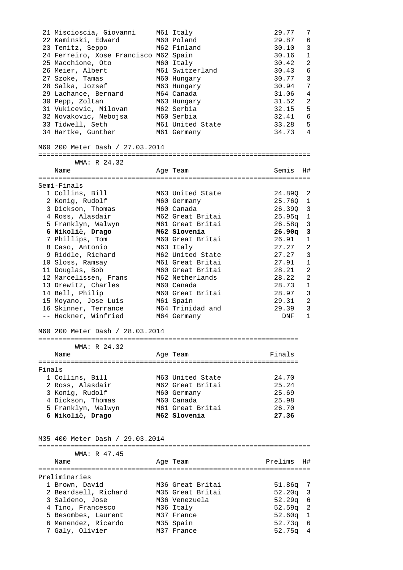|        | 21 Miscioscia, Giovanni                | M61 Italy                        | 29.77            | 7                              |
|--------|----------------------------------------|----------------------------------|------------------|--------------------------------|
|        | 22 Kaminski, Edward                    | M60 Poland                       | 29.87            | 6                              |
|        | 23 Tenitz, Seppo                       | M62 Finland                      | 30.10            | 3                              |
|        | 24 Ferreiro, Xose Francisco M62 Spain  |                                  | 30.16            | $\mathbf{1}$                   |
|        | 25 Macchione, Oto                      | M60 Italy                        | 30.42            | 2                              |
|        | 26 Meier, Albert                       | M61 Switzerland                  | 30.43            | 6                              |
|        | 27 Szoke, Tamas                        | M60 Hungary                      | 30.77            | 3                              |
|        | 28 Salka, Jozsef                       | M63 Hungary                      | 30.94            | 7                              |
|        | 29 Lachance, Bernard                   | M64 Canada                       | 31.06            | $\overline{4}$                 |
|        | 30 Pepp, Zoltan                        | M63 Hungary                      | 31.52            | 2                              |
|        | 31 Vukicevic, Milovan                  | M62 Serbia                       | 32.15            | 5                              |
|        | 32 Novakovic, Nebojsa                  | M60 Serbia                       | 32.41            | 6                              |
|        | 33 Tidwell, Seth                       | M61 United State                 | 33.28            | 5                              |
|        | 34 Hartke, Gunther                     | M61 Germany                      | 34.73 4          |                                |
|        | M60 200 Meter Dash / 27.03.2014        |                                  |                  |                                |
|        | WMA: R 24.32                           |                                  |                  |                                |
|        | Name                                   | Age Team                         | Semis            | H#                             |
|        |                                        |                                  |                  |                                |
|        | Semi-Finals<br>1 Collins, Bill         | M63 United State                 |                  |                                |
|        |                                        |                                  | 24.89Q 2         |                                |
|        | 2 Konig, Rudolf<br>3 Dickson, Thomas   | M60 Germany<br>M60 Canada        | 25.76Q 1         |                                |
|        |                                        | M62 Great Britai                 | 26.390 3         |                                |
|        | 4 Ross, Alasdair                       |                                  | $25.95q$ 1       |                                |
|        | 5 Franklyn, Walwyn                     | M61 Great Britai<br>M62 Slovenia | 26.58q           | $\overline{3}$<br>$\mathbf{3}$ |
|        | 6 Nikolič, Drago                       |                                  | 26.90q           |                                |
|        | 7 Phillips, Tom                        | M60 Great Britai                 | 26.91            | $\mathbf{1}$                   |
|        | 8 Caso, Antonio                        | M63 Italy                        | 27.27            | 2                              |
|        | 9 Riddle, Richard                      | M62 United State                 | 27.27            | 3                              |
|        | 10 Sloss, Ramsay                       | M61 Great Britai                 | 27.91            | 1                              |
|        | 11 Douglas, Bob                        | M60 Great Britai                 | 28.21            | 2                              |
|        | 12 Marcelissen, Frans                  | M62 Netherlands                  | 28.22            | 2                              |
|        | 13 Drewitz, Charles                    | M60 Canada                       | 28.73            | $\mathbf{1}$                   |
|        | 14 Bell, Philip                        | M60 Great Britai                 | 28.97            | $\mathbf{3}$                   |
|        | 15 Moyano, Jose Luis                   | M61 Spain                        | 29.31            | 2                              |
|        | 16 Skinner, Terrance                   | M64 Trinidad and                 | 29.39            | 3                              |
|        | -- Heckner, Winfried                   | M64 Germany                      | DNF              | $\mathbf{1}$                   |
|        | M60 200 Meter Dash / 28.03.2014        |                                  |                  |                                |
|        | WMA: R 24.32                           |                                  |                  |                                |
|        | Name                                   | Age Team                         | Finals           |                                |
| Finals |                                        |                                  |                  |                                |
|        | 1 Collins, Bill                        | M63 United State                 | 24.70            |                                |
|        | 2 Ross, Alasdair                       | M62 Great Britai                 | 25.24            |                                |
|        | 3 Konig, Rudolf                        | M60 Germany                      | 25.69            |                                |
|        | 4 Dickson, Thomas                      | M60 Canada                       | 25.98            |                                |
|        | 5 Franklyn, Walwyn                     | M61 Great Britai                 | 26.70            |                                |
|        | 6 Nikolič, Drago                       | M62 Slovenia                     | 27.36            |                                |
|        | M35 400 Meter Dash / 29.03.2014        |                                  |                  |                                |
|        |                                        |                                  |                  |                                |
|        | WMA: R 47.45                           |                                  |                  |                                |
|        | Name                                   | Age Team                         | Prelims          | H#                             |
|        |                                        |                                  |                  |                                |
|        | Preliminaries                          |                                  |                  |                                |
|        | 1 Brown, David                         | M36 Great Britai                 | 51.86q           | 7                              |
|        | 2 Beardsell, Richard                   | M35 Great Britai                 | 52.20q           | 3                              |
|        | 3 Saldeno, Jose                        | M36 Venezuela                    | 52.29q           | 6                              |
|        | 4 Tino, Francesco                      | M36 Italy                        | 52.59q           | 2                              |
|        | 5 Besombes, Laurent                    | M37 France                       | 52.60q           | $\mathbf{1}$                   |
|        | 6 Menendez, Ricardo<br>7 Galy, Olivier | M35 Spain                        | 52.73q<br>52.75q | 6                              |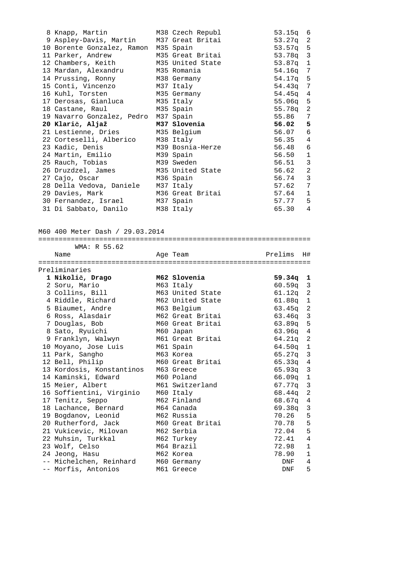| 8 Knapp, Martin M38 Czech Republ          |                  | $53.15q$ 6 |                |
|-------------------------------------------|------------------|------------|----------------|
| 9 Aspley-Davis, Martin M37 Great Britai   |                  | 53.27q 2   |                |
| 10 Borente Gonzalez, Ramon M35 Spain      |                  | $53.57q$ 5 |                |
| 11 Parker, Andrew M35 Great Britai        |                  | 53.78q 3   |                |
| 12 Chambers, Keith M35 United State       |                  | $53.87q$ 1 |                |
| 13 Mardan, Alexandru     M35 Romania      |                  | 54.16q 7   |                |
| 14 Prussing, Ronny M38 Germany            |                  | $54.17q$ 5 |                |
| 15 Conti, Vincenzo M37 Italy              |                  | 54.43q 7   |                |
| 16 Kuhl, Torsten M35 Germany              |                  | $54.45q$ 4 |                |
| 17 Derosas, Gianluca         M35 Italy    |                  | $55.06q$ 5 |                |
| 18 Castane, Raul               M35 Spain  |                  | 55.78q 2   |                |
| 19 Navarro Gonzalez, Pedro M37 Spain      |                  | 55.86 7    |                |
|                                           |                  |            |                |
| 20 Klarič, Aljaž                          | M37 Slovenia     | 56.02 5    |                |
| 21 Lestienne, Dries M35 Belgium           |                  | 56.07 6    |                |
| 22 Corteselli, Alberico M38 Italy         |                  | 56.35 4    |                |
|                                           |                  | 56.48 6    |                |
| 24 Martin, Emilio       M39 Spain         |                  | 56.50 1    |                |
| 25 Rauch, Tobias               M39 Sweden |                  | 56.51 3    |                |
| 26 Druzdzel, James M35 United State       |                  | 56.62 2    |                |
| 27 Cajo, Oscar M36 Spain                  |                  | 56.74 3    |                |
| 28 Della Vedova, Daniele M37 Italy        |                  | 57.62      | 7              |
| 29 Davies, Mark                           | M36 Great Britai | 57.64 1    |                |
| 30 Fernandez, Israel M37 Spain            |                  | 57.77 5    | $\overline{4}$ |

M60 400 Meter Dash / 29.03.2014

| WMA: R 55.62                                         |                                  |            |                |
|------------------------------------------------------|----------------------------------|------------|----------------|
| Name                                                 | Age Team                         | Prelims    | H#             |
| ===================================<br>Preliminaries | ================================ |            |                |
|                                                      | M62 Slovenia                     |            |                |
| 1 Nikolič, Drago                                     |                                  | $59.34q$ 1 |                |
| 2 Soru, Mario                                        | M63 Italy                        | $60.59q$ 3 |                |
| 3 Collins, Bill                                      | M63 United State                 | 61.12q 2   |                |
| 4 Riddle, Richard                                    | M62 United State                 | $61.88q$ 1 |                |
| 5 Biaumet, Andre                                     | M63 Belgium                      | $63.45q$ 2 |                |
| 6 Ross, Alasdair                                     | M62 Great Britai                 | $63.46q$ 3 |                |
| 7 Douglas, Bob                                       | M60 Great Britai                 | 63.89q 5   |                |
| 8 Sato, Ryuichi                                      | M60 Japan                        | $63.96q$ 4 |                |
| 9 Franklyn, Walwyn                                   | M61 Great Britai                 | 64.21q 2   |                |
| 10 Moyano, Jose Luis                                 | M61 Spain                        | $64.50q$ 1 |                |
| 11 Park, Sangho                                      | M63 Korea                        | 65.27q 3   |                |
| 12 Bell, Philip                                      | M60 Great Britai                 | $65.33q$ 4 |                |
| 13 Kordosis, Konstantinos                            | M63 Greece                       | 65.93q 3   |                |
| 14 Kaminski, Edward                                  | M60 Poland                       | $66.09q$ 1 |                |
| 15 Meier, Albert                                     | M61 Switzerland                  | 67.77q 3   |                |
| 16 Soffientini, Virginio                             | M60 Italy                        | 68.44q 2   |                |
| 17 Tenitz, Seppo                                     | M62 Finland                      | 68.67q 4   |                |
| 18 Lachance, Bernard                                 | M64 Canada                       | $69.38q$ 3 |                |
| 19 Bogdanov, Leonid                                  | M62 Russia                       | 70.26      | 5              |
| 20 Rutherford, Jack                                  | M60 Great Britai                 | 70.78      | 5              |
| 21 Vukicevic, Milovan                                | M62 Serbia                       | 72.04      | 5              |
| 22 Muhsin, Turkkal                                   | M62 Turkey                       | 72.41      | $\overline{4}$ |
| 23 Wolf, Celso                                       | M64 Brazil                       | 72.98      | $\mathbf{1}$   |
| 24 Jeong, Hasu                                       | M62 Korea                        | 78.90      | $\mathbf{1}$   |
| -- Michelchen. Reinhard                              | M60 Germany                      | DNF        | 4              |
| -- Morfis, Antonios                                  | M61 Greece                       | DNF        | 5              |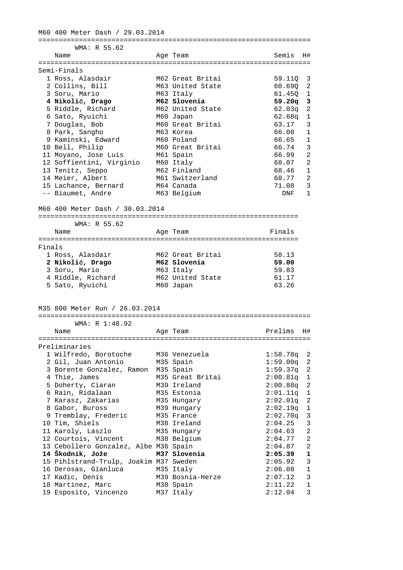M60 400 Meter Dash / 29.03.2014 =================================================================== WMA: R 55.62 Name **Age Team** Age Team Semis H# =================================================================== Semi-Finals 1 Ross, Alasdair M62 Great Britai 59.11Q 3 2 Collins, Bill M63 United State 60.69Q 2 3 Soru, Mario M63 Italy 61.45Q 1  **4 Nikolič, Drago M62 Slovenia 59.20q 3**  5 Riddle, Richard M62 United State 62.03q 2 6 Sato, Ryuichi M60 Japan 62.68q 1 7 Douglas, Bob M60 Great Britai 63.17 3 8 Park, Sangho M63 Korea 66.08 1 9 Kaminski, Edward M60 Poland 66.65 1 10 Bell, Philip M60 Great Britai 66.74 3 11 Moyano, Jose Luis M61 Spain 66.99 2 12 Soffientini, Virginio M60 Italy 68.07 2 13 Tenitz, Seppo M62 Finland 68.46 1 14 Meier, Albert M61 Switzerland 68.77 2 15 Lachance, Bernard M64 Canada 71.08 3 -- Biaumet, Andre M63 Belgium DNF 1 M60 400 Meter Dash / 30.03.2014 ================================================================ WMA: R 55.62 Name Ream Age Team Rinals ================================================================ Finals 1 Ross, Alasdair M62 Great Britai 58.13  **2 Nikolič, Drago M62 Slovenia 59.00**  3 Soru, Mario M63 Italy 59.83 4 Riddle, Richard M62 United State 61.17 5 Sato, Ryuichi M60 Japan 63.26 M35 800 Meter Run / 26.03.2014 =================================================================== WMA: R 1:48.92 Name Age Team Prelims H# =================================================================== Preliminaries 1 Wilfredo, Borotoche M36 Venezuela 1:58.78q 2 2 Gil, Juan Antonio M35 Spain 1:59.00q 2 3 Borente Gonzalez, Ramon M35 Spain 1:59.37q 2 4 Thie, James M35 Great Britai 2:00.81q 1 5 Doherty, Ciaran M39 Ireland 2:00.88q 2 6 Rain, Ridalaan M35 Estonia 2:01.11q 1 7 Karasz, Zakarias M35 Hungary 2:02.01q 2 8 Gabor, Buross M39 Hungary 2:02.19q 1 9 Tremblay, Frederic M35 France 2:02.70q 3 10 Tim, Shiels M38 Ireland 2:04.25 3 11 Karoly, Laszlo M35 Hungary 2:04.63 2 12 Courtois, Vincent M38 Belgium 2:04.77 2 13 Cebollero Gonzalez, Albe M36 Spain 2:04.87 2  **14 Škodnik, Jože M37 Slovenia 2:05.39 1**  15 Pihlstrand-Trulp, Joakim M37 Sweden 2:05.92 3 16 Derosas, Gianluca M35 Italy 2:06.08 1 17 Kadic, Denis M39 Bosnia-Herze 2:07.12 3 18 Martinez, Marc M38 Spain 2:11.22 1 19 Esposito, Vincenzo M37 Italy 2:12.04 3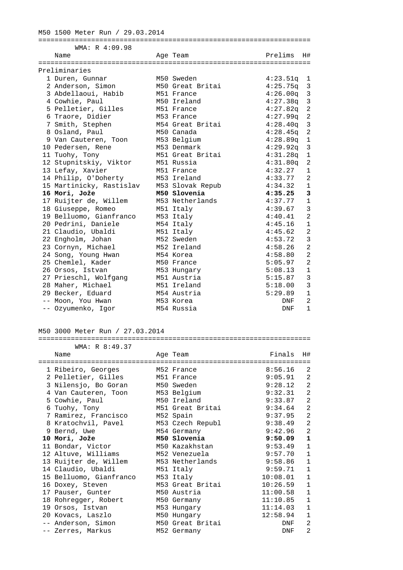# M50 1500 Meter Run / 29.03.2014 =================================================================== WMA: R 4:09.98 Name and Age Team and Prelims H# =================================================================== Preliminaries 1 Duren, Gunnar M50 Sweden 4:23.51q 1 2 Anderson, Simon M50 Great Britai 4:25.75q 3 3 Abdellaoui, Habib M51 France 4:26.00q 3 4 Cowhie, Paul M50 Ireland 4:27.38q 3 5 Pelletier, Gilles M51 France 4:27.82q 2 6 Traore, Didier M53 France 4:27.99q 2 7 Smith, Stephen M54 Great Britai 4:28.40q 3 8 Osland, Paul M50 Canada 4:28.45q 2 9 Van Cauteren, Toon M53 Belgium 4:28.89q 1 10 Pedersen, Rene M53 Denmark 4:29.92q 3 11 Tuohy, Tony M51 Great Britai 4:31.28q 1 12 Stupnitskiy, Viktor M51 Russia 4:31.80q 2 13 Lefay, Xavier M51 France 4:32.27 1 14 Philip, O'Doherty M53 Ireland 4:33.77 2 15 Martinicky, Rastislav M53 Slovak Repub 4:34.32 1  **16 Mori, Jože M50 Slovenia 4:35.25 3**  17 Ruijter de, Willem M53 Netherlands 4:37.77 1 18 Giuseppe, Romeo M51 Italy 4:39.67 3 19 Belluomo, Gianfranco M53 Italy 4:40.41 2 20 Pedrini, Daniele M54 Italy 4:45.16 1 21 Claudio, Ubaldi M51 Italy 4:45.62 2 22 Engholm, Johan M52 Sweden 4:53.72 3 23 Cornyn, Michael M52 Ireland 4:58.26 2 24 Song, Young Hwan M54 Korea 4:58.80 2 25 Chemlel, Kader M50 France 5:05.97 2 26 Orsos, Istvan M53 Hungary 5:08.13 1 27 Prieschl, Wolfgang M51 Austria 5:15.87 3 28 Maher, Michael M51 Ireland 5:18.00 3 29 Becker, Eduard M54 Austria 5:29.89 1

#### M50 3000 Meter Run / 27.03.2014

#### =================================================================== WMA: R 8:49.37

| Name                    | Age Team         | Finals     | H#             |
|-------------------------|------------------|------------|----------------|
| 1 Ribeiro, Georges      | M52 France       | 8:56.16    | 2              |
| 2 Pelletier, Gilles     | M51 France       | 9:05.91    | $\mathfrak{D}$ |
| 3 Nilensjo, Bo Goran    | M50 Sweden       | 9:28.12    | 2              |
| 4 Van Cauteren, Toon    | M53 Belgium      | 9:32.31    | 2              |
| 5 Cowhie, Paul          | M50 Ireland      | 9:33.87    | $\overline{a}$ |
| 6 Tuohy, Tony           | M51 Great Britai | 9:34.64    | 2              |
| 7 Ramirez, Francisco    | M52 Spain        | 9:37.95    | 2              |
| 8 Kratochvil, Pavel     | M53 Czech Republ | 9:38.49    | 2              |
| 9 Bernd, Uwe            | M54 Germany      | 9:42.96    | 2              |
| 10 Mori, Jože           | M50 Slovenia     | 9:50.09    | $\mathbf 1$    |
| 11 Bondar, Victor       | M50 Kazakhstan   | 9:53.49    | $\mathbf{1}$   |
| 12 Altuve, Williams     | M52 Venezuela    | 9:57.70    | $\mathbf{1}$   |
| 13 Ruijter de, Willem   | M53 Netherlands  | 9:58.86    | $\mathbf{1}$   |
| 14 Claudio, Ubaldi      | M51 Italy        | 9:59.71    | $\mathbf{1}$   |
| 15 Belluomo, Gianfranco | M53 Italy        | 10:08.01   | $\mathbf{1}$   |
| 16 Doxey, Steven        | M53 Great Britai | 10:26.59   | $\mathbf{1}$   |
| 17 Pauser, Gunter       | M50 Austria      | 11:00.58   | $\mathbf{1}$   |
| 18 Rohregger, Robert    | M50 Germany      | 11:10.85   | $\mathbf{1}$   |
| 19 Orsos, Istvan        | M53 Hungary      | 11:14.03   | $\mathbf{1}$   |
| 20 Kovacs, Laszlo       | M50 Hungary      | 12:58.94   | $\mathbf{1}$   |
| -- Anderson, Simon      | M50 Great Britai | DNF        | 2              |
| -- Zerres, Markus       | M52 Germany      | <b>DNF</b> | $\mathfrak{D}$ |

 -- Moon, You Hwan M53 Korea DNF 2 -- Ozyumenko, Igor M54 Russia DNF 1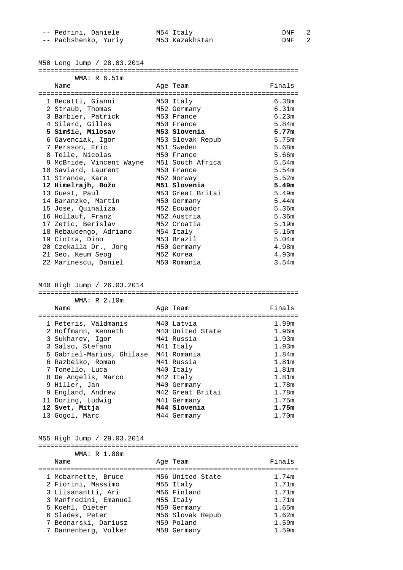| -- Pedrini, Daniele  | M54 Italy      | DNF |  |
|----------------------|----------------|-----|--|
| -- Pachshenko, Yuriy | M53 Kazakhstan | DNF |  |

M50 Long Jump / 28.03.2014

#### ================================================================

| WMA: R 6.51m                              |                  |        |
|-------------------------------------------|------------------|--------|
| Name                                      | Age Team         | Finals |
|                                           |                  |        |
| 1 Becatti, Gianni                         | M50 Italy        | 6.38m  |
| 2 Straub, Thomas                          | M52 Germany      | 6.31m  |
| 3 Barbier, Patrick                        | M53 France       | 6.23m  |
| 4 Silard, Gilles                          | M50 France       | 5.84m  |
| 5 Simšič, Milosav M53 Slovenia            |                  | 5.77m  |
| 6 Gavenciak, Igor                         | M53 Slovak Repub | 5.75m  |
| 7 Persson, Eric                           | M51 Sweden       | 5.68m  |
| 8 Telle, Nicolas                          | M50 France       | 5.66m  |
| 9 McBride, Vincent Wayne M51 South Africa |                  | 5.54m  |
| 10 Saviard, Laurent                       | M50 France       | 5.54m  |
| 11 Strande, Kare                          | M52 Norway       | 5.52m  |
| 12 Himelrajh, Božo                        | M51 Slovenia     | 5.49m  |
| 13 Guest, Paul                            | M53 Great Britai | 5.49m  |
| 14 Baranzke, Martin                       | M50 Germany      | 5.44m  |
| 15 Jose, Quinaliza                        | M52 Ecuador      | 5.36m  |
| 16 Hollauf, Franz                         | M52 Austria      | 5.36m  |
| 17 Zetic, Berislav                        | M52 Croatia      | 5.19m  |
| 18 Rebaudengo, Adriano                    | M54 Italy        | 5.16m  |
| 19 Cintra, Dino                           | M53 Brazil       | 5.04m  |
| 20 Czekalla Dr., Jorg M50 Germany         |                  | 4.98m  |
| 21 Seo, Keum Seog                         | M52 Korea        | 4.93m  |
| 22 Marinescu, Daniel                      | M50 Romania      | 3.54m  |

M40 High Jump / 26.03.2014

================================================================ WMA: R 2.10m

| Name                      | Age Team         | Finals |
|---------------------------|------------------|--------|
|                           |                  |        |
| 1 Peteris, Valdmanis      | M40 Latvia       | 1.99m  |
| 2 Hoffmann, Kenneth       | M40 United State | 1.96m  |
| 3 Sukharev, Igor          | M41 Russia       | 1.93m  |
| 3 Salso, Stefano          | M41 Italy        | 1.93m  |
| 5 Gabriel-Marius, Ghilase | M41 Romania      | 1.84m  |
| 6 Razbeiko, Roman         | M41 Russia       | 1.81m  |
| 7 Tonello, Luca           | M40 Italy        | 1.81m  |
| 8 De Angelis, Marco       | M42 Italy        | 1.81m  |
| 9 Hiller, Jan             | M40 Germany      | 1.78m  |
| 9 England, Andrew         | M42 Great Britai | 1.78m  |
| 11 Doring, Ludwig         | M41 Germany      | 1.75m  |
| 12 Svet, Mitja            | M44 Slovenia     | 1.75m  |
| 13 Gogol, Marc            | M44 Germany      | 1.70m  |

M55 High Jump / 29.03.2014

| WMA: R 1.88m          |                  |        |
|-----------------------|------------------|--------|
| Name                  | Age Team         | Finals |
|                       |                  |        |
| 1 Mcbarnette, Bruce   | M56 United State | 1.74m  |
| 2 Fiorini, Massimo    | M55 Italy        | 1.71m  |
| 3 Liisanantti, Ari    | M56 Finland      | 1.71m  |
| 3 Manfredini, Emanuel | M55 Italy        | 1.71m  |
| 5 Koehl, Dieter       | M59 Germany      | 1.65m  |
| 6 Sladek, Peter       | M56 Slovak Repub | 1.62m  |
| 7 Bednarski, Dariusz  | M59 Poland       | 1.59m  |
| 7 Dannenberg, Volker  | M58 Germany      | 1.59m  |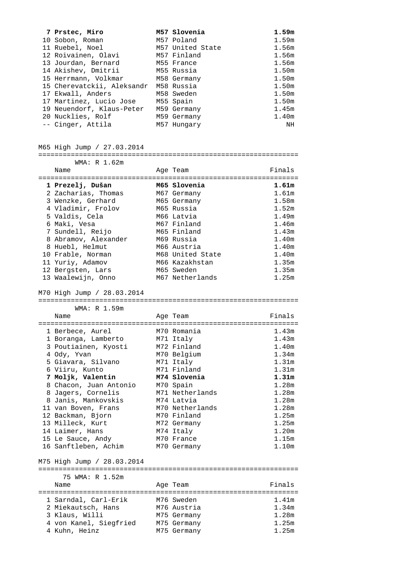| 7 Prstec, Miro             | M57 Slovenia     | 1.59m |
|----------------------------|------------------|-------|
| 10 Sobon, Roman            | M57 Poland       | 1.59m |
| 11 Ruebel, Noel            | M57 United State | 1.56m |
| 12 Roivainen, Olavi        | M57 Finland      | 1.56m |
| 13 Jourdan, Bernard        | M55 France       | 1.56m |
| 14 Akishev, Dmitrii        | M55 Russia       | 1.50m |
| 15 Herrmann, Volkmar       | M58 Germany      | 1.50m |
| 15 Cherevatckii, Aleksandr | M58 Russia       | 1.50m |
| 17 Ekwall, Anders          | M58 Sweden       | 1.50m |
| 17 Martinez, Lucio Jose    | M55 Spain        | 1.50m |
| 19 Neuendorf, Klaus-Peter  | M59 Germany      | 1.45m |
| 20 Nucklies, Rolf          | M59 Germany      | 1.40m |
| -- Cinger, Attila          | M57 Hungary      | ΝH    |

M65 High Jump / 27.03.2014

| WMA: R 1.62m         |                  |        |
|----------------------|------------------|--------|
| Name                 | Age Team         | Finals |
| 1 Prezelj, Dušan     | M65 Slovenia     | 1.61m  |
|                      |                  |        |
| 2 Zacharias, Thomas  | M67 Germany      | 1.61m  |
| 3 Wenzke, Gerhard    | M65 Germany      | 1.58m  |
| 4 Vladimir, Frolov   | M65 Russia       | 1.52m  |
| 5 Valdis, Cela       | M66 Latvia       | 1.49m  |
| 6 Maki, Vesa         | M67 Finland      | 1.46m  |
| 7 Sundell, Reijo     | M65 Finland      | 1.43m  |
| 8 Abramov, Alexander | M69 Russia       | 1.40m  |
| 8 Huebl, Helmut      | M66 Austria      | 1.40m  |
| 10 Frable, Norman    | M68 United State | 1.40m  |
| 11 Yuriy, Adamov     | M66 Kazakhstan   | 1.35m  |
| 12 Bergsten, Lars    | M65 Sweden       | 1.35m  |
| 13 Waalewijn, Onno   | M67 Netherlands  | 1.25m  |

M70 High Jump / 28.03.2014

================================================================ WMA: R 1.59m

| Name                       | Age Team        | Finals            |
|----------------------------|-----------------|-------------------|
|                            |                 |                   |
| 1 Berbece, Aurel           | M70 Romania     | 1.43m             |
| 1 Boranga, Lamberto        | M71 Italy       | 1.43m             |
| 3 Poutiainen, Kyosti       | M72 Finland     | 1.40m             |
| 4 Ody, Yvan                | M70 Belgium     | 1.34 <sub>m</sub> |
| 5 Giavara, Silvano         | M71 Italy       | 1.31 <sub>m</sub> |
| 6 Viiru, Kunto             | M71 Finland     | 1.31 <sub>m</sub> |
| 7 Moljk, Valentin          | M74 Slovenia    | 1.31m             |
| 8 Chacon, Juan Antonio     | M70 Spain       | 1.28m             |
| 8 Jagers, Cornelis         | M71 Netherlands | 1.28m             |
| 8 Janis, Mankovskis        | M74 Latvia      | 1.28m             |
| 11 van Boven, Frans        | M70 Netherlands | 1.28m             |
| 12 Backman, Bjorn          | M70 Finland     | 1.25m             |
| 13 Milleck, Kurt           | M72 Germany     | 1.25m             |
| 14 Laimer, Hans            | M74 Italy       | 1.20 <sub>m</sub> |
| 15 Le Sauce, Andy          | M70 France      | 1.15m             |
| 16 Sanftleben, Achim       | M70 Germany     | 1.10m             |
| M75 High Jump / 28.03.2014 |                 |                   |

| 75 WMA: R 1.52m |                                                                                                         |                                                                                    |
|-----------------|---------------------------------------------------------------------------------------------------------|------------------------------------------------------------------------------------|
| Name            |                                                                                                         | Finals                                                                             |
|                 |                                                                                                         |                                                                                    |
|                 |                                                                                                         | 1.41m                                                                              |
|                 |                                                                                                         | 1.34m                                                                              |
|                 |                                                                                                         | 1.28m                                                                              |
|                 |                                                                                                         | 1.25m                                                                              |
|                 |                                                                                                         | 1.25m                                                                              |
|                 | 1 Sarndal, Carl-Erik<br>2 Miekautsch, Hans<br>3 Klaus, Willi<br>4 von Kanel, Siegfried<br>4 Kuhn, Heinz | Age Team<br>M76 Sweden<br>M76 Austria<br>M75 Germany<br>M75 Germany<br>M75 Germany |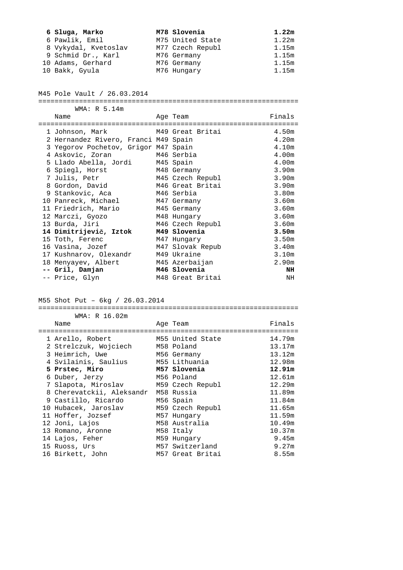| 6 Sluga, Marko       | M78 Slovenia     | 1.22m |
|----------------------|------------------|-------|
| 6 Pawlik, Emil       | M75 United State | 1.22m |
| 8 Vykydal, Kvetoslav | M77 Czech Republ | 1.15m |
| 9 Schmid Dr., Karl   | M76 Germany      | 1.15m |
| 10 Adams, Gerhard    | M76 Germany      | 1.15m |
| 10 Bakk, Gyula       | M76 Hungary      | 1.15m |

#### M45 Pole Vault / 26.03.2014

WMA: R 5.14m

================================================================

| Name                                 | Age Team         | Finals            |
|--------------------------------------|------------------|-------------------|
| 1 Johnson, Mark M49 Great Britai     |                  | 4.50m             |
| 2 Hernandez Rivero, Franci M49 Spain |                  | 4.20m             |
| 3 Yegorov Pochetov, Grigor M47 Spain |                  | 4.10m             |
| M46 Serbia<br>4 Askovic, Zoran       |                  | 4.00 <sub>m</sub> |
| 5 Llado Abella, Jordi M45 Spain      |                  | 4.00m             |
| 6 Spiegl, Horst                      | M48 Germany      | 3.90m             |
| 7 Julis, Petr                        | M45 Czech Republ | 3.90m             |
| 8 Gordon, David                      | M46 Great Britai | 3.90m             |
| 9 Stankovic, Aca                     | M46 Serbia       | 3.80 <sub>m</sub> |
| 10 Panreck, Michael                  | M47 Germany      | 3.60m             |
| 11 Friedrich, Mario                  | M45 Germany      | 3.60 <sub>m</sub> |
| 12 Marczi, Gyozo                     | M48 Hungary      | 3.60 <sub>m</sub> |
| 13 Burda, Jiri                       | M46 Czech Republ | 3.60m             |
| 14 Dimitrijevič, Iztok               | M49 Slovenia     | 3.50 <sub>m</sub> |
| 15 Toth, Ferenc                      | M47 Hungary      | 3.50m             |
| 16 Vasina, Jozef                     | M47 Slovak Repub | 3.40m             |
| 17 Kushnarov, Olexandr               | M49 Ukraine      | 3.10 <sub>m</sub> |
| 18 Menyayev, Albert                  | M45 Azerbaijan   | 2.90m             |
| -- Gril, Damjan                      | M46 Slovenia     | NH                |
| -- Price, Glyn                       | M48 Great Britai | NH                |

# M55 Shot Put – 6kg / 26.03.2014

 WMA: R 16.02m Name Age Team Age Team Finals ================================================================ 1 Arello, Robert M55 United State 14.79m 2 Strelczuk, Wojciech M58 Poland 13.17m 3 Heimrich, Uwe M56 Germany 13.12m 4 Svilainis, Saulius M55 Lithuania 12.98m  **5 Prstec, Miro M57 Slovenia 12.91m**  6 Duber, Jerzy M56 Poland 12.61m 7 Slapota, Miroslav M59 Czech Republ 12.29m 8 Cherevatckii, Aleksandr M58 Russia 11.89m 9 Castillo, Ricardo M56 Spain 11.84m 10 Hubacek, Jaroslav M59 Czech Republ 11.65m 11 Hoffer, Jozsef M57 Hungary 11.59m 12 Joni, Lajos M58 Australia 10.49m<br>13 Romano, Aronne M58 Italy 10.37m<br>14 Lajos, Feher M59 Hungary 9.45m 13 Romano, Aronne M58 Italy 10.37m 14 Lajos, Feher M59 Hungary 14 Lajos, Feher 15 Ruoss, Urs M57 Switzerland 9.27m 16 Birkett, John M57 Great Britai 8.55m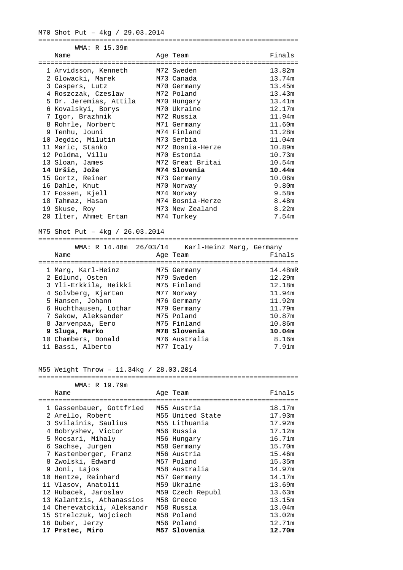M70 Shot Put – 4kg / 29.03.2014

|     |               |   |  |  |  |  |  |  |  | ---- |
|-----|---------------|---|--|--|--|--|--|--|--|------|
| MМД | -<br>◡<br>. . | - |  |  |  |  |  |  |  |      |

| Name                                | Age Team           | Finals |
|-------------------------------------|--------------------|--------|
| ====================                | ================== |        |
| 1 Arvidsson, Kenneth                | M72 Sweden         | 13.82m |
| 2 Glowacki, Marek                   | M73 Canada         | 13.74m |
| 3 Caspers, Lutz                     | M70 Germany        | 13.45m |
| 4 Roszczak, Czeslaw                 | M72 Poland         | 13.43m |
| 5 Dr. Jeremias, Attila 1970 Hungary |                    | 13.41m |
| 6 Kovalskyi, Borys                  | M70 Ukraine        | 12.17m |
| 7 Igor, Brazhnik                    | M72 Russia         | 11.94m |
| 8 Rohrle, Norbert                   | M71 Germany        | 11.60m |
| 9 Tenhu, Jouni                      | M74 Finland        | 11.28m |
| 10 Jegdic, Milutin                  | M73 Serbia         | 11.04m |
| 11 Maric, Stanko                    | M72 Bosnia-Herze   | 10.89m |
| 12 Poldma, Villu                    | M70 Estonia        | 10.73m |
| 13 Sloan, James                     | M72 Great Britai   | 10.54m |
| 14 Uršič, Jože                      | M74 Slovenia       | 10.44m |
| 15 Gortz, Reiner                    | M73 Germany        | 10.06m |
| 16 Dahle, Knut                      | M70 Norway         | 9.80m  |
| 17 Fossen, Kjell                    | M74 Norway         | 9.58m  |
| 18 Tahmaz, Hasan                    | M74 Bosnia-Herze   | 8.48m  |
| 19 Skuse, Roy                       | M73 New Zealand    | 8.22m  |
| 20 Ilter, Ahmet Ertan               | M74 Turkey         | 7.54m  |

M75 Shot Put – 4kg / 26.03.2014

================================================================ WMA: R 14.48m 26/03/14 Karl-Heinz Marg, Germany

|                       | wrk: K II.IOM 20/03/11 Adil Heinz Maly, Germany |         |
|-----------------------|-------------------------------------------------|---------|
| Name                  | Age Team                                        | Finals  |
|                       |                                                 |         |
| 1 Marg, Karl-Heinz    | M75 Germany                                     | 14.48mR |
| 2 Edlund, Osten       | M79 Sweden                                      | 12.29m  |
| 3 Yli-Erkkila, Heikki | M75 Finland                                     | 12.18m  |
| 4 Solvberg, Kjartan   | M77 Norway                                      | 11.94m  |
| 5 Hansen, Johann      | M76 Germany                                     | 11.92m  |
| 6 Huchthausen, Lothar | M79 Germany                                     | 11.79m  |
| 7 Sakow, Aleksander   | M75 Poland                                      | 10.87m  |
| 8 Jarvenpaa, Eero     | M75 Finland                                     | 10.86m  |
| 9 Sluga, Marko        | M78 Slovenia                                    | 10.04m  |
| 10 Chambers, Donald   | M76 Australia                                   | 8.16m   |
| 11 Bassi, Alberto     | M77 Italy                                       | 7.91m   |
|                       |                                                 |         |

# M55 Weight Throw – 11.34kg / 28.03.2014

| WMA: R 19.79m                         |                  |        |
|---------------------------------------|------------------|--------|
| Name                                  | Age Team         | Finals |
|                                       |                  |        |
| 1 Gassenbauer, Gottfried              | M55 Austria      | 18.17m |
| 2 Arello, Robert                      | M55 United State | 17.93m |
| 3 Svilainis, Saulius                  | M55 Lithuania    | 17.92m |
| 4 Bobryshev, Victor                   | M56 Russia       | 17.12m |
| 5 Mocsari, Mihaly                     | M56 Hunqary      | 16.71m |
| 6 Sachse, Jurgen                      | M58 Germany      | 15.70m |
| 7 Kastenberger, Franz                 | M56 Austria      | 15.46m |
| 8 Zwolski, Edward                     | M57 Poland       | 15.35m |
| 9 Joni, Lajos                         | M58 Australia    | 14.97m |
| 10 Hentze, Reinhard                   | M57 Germany      | 14.17m |
| 11 Vlasov, Anatolii                   | M59 Ukraine      | 13.69m |
| 12 Hubacek, Jaroslav                  | M59 Czech Republ | 13.63m |
| 13 Kalantzis, Athanassios M58 Greece  |                  | 13.15m |
| 14 Cherevatckii, Aleksandr M58 Russia |                  | 13.04m |
| 15 Strelczuk, Wojciech                | M58 Poland       | 13.02m |
| 16 Duber, Jerzy                       | M56 Poland       | 12.71m |
| 17 Prstec, Miro                       | M57 Slovenia     | 12.70m |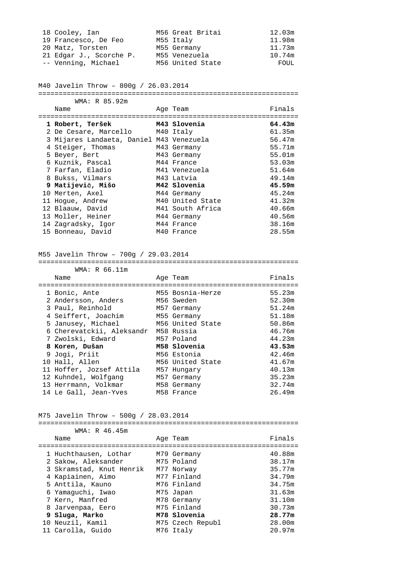| 18 Cooley, Ian          | M56 Great Britai | 12.03m |
|-------------------------|------------------|--------|
| 19 Francesco, De Feo    | M55 Italy        | 11.98m |
| 20 Matz, Torsten        | M55 Germany      | 11.73m |
| 21 Edgar J., Scorche P. | M55 Venezuela    | 10.74m |
| -- Venning, Michael     | M56 United State | FOUL   |

M40 Javelin Throw – 800g / 26.03.2014

================================================================

| WMA: R 85.92m                            |                  |        |
|------------------------------------------|------------------|--------|
| Name                                     | Age Team         | Finals |
|                                          |                  |        |
| 1 Robert, Teršek                         | M43 Slovenia     | 64.43m |
| 2 De Cesare, Marcello M40 Italy          |                  | 61.35m |
| 3 Mijares Landaeta, Daniel M43 Venezuela |                  | 56.47m |
| 4 Steiger, Thomas                        | M43 Germany      | 55.71m |
| 5 Beyer, Bert                            | M43 Germany      | 55.01m |
| 6 Kuznik, Pascal                         | M44 France       | 53.03m |
| 7 Farfan, Eladio                         | M41 Venezuela    | 51.64m |
| 8 Bukss, Vilmars                         | M43 Latvia       | 49.14m |
| 9 Matijevič, Mišo                        | M42 Slovenia     | 45.59m |
| 10 Merten, Axel                          | M44 Germany      | 45.24m |
| 11 Hoque, Andrew                         | M40 United State | 41.32m |
| 12 Blaauw, David                         | M41 South Africa | 40.66m |
| 13 Moller, Heiner                        | M44 Germany      | 40.56m |
| 14 Zagradsky, Igor                       | M44 France       | 38.16m |
| 15 Bonneau, David                        | M40 France       | 28.55m |

# M55 Javelin Throw – 700g / 29.03.2014

| WMA: R 66.11m             |                  |        |
|---------------------------|------------------|--------|
| Name                      | Age Team         | Finals |
|                           |                  |        |
| 1 Bonic, Ante             | M55 Bosnia-Herze | 55.23m |
| 2 Andersson, Anders       | M56 Sweden       | 52.30m |
| 3 Paul, Reinhold          | M57 Germany      | 51.24m |
| 4 Seiffert, Joachim       | M55 Germany      | 51.18m |
| 5 Janusey, Michael        | M56 United State | 50.86m |
| 6 Cherevatckii, Aleksandr | M58 Russia       | 46.76m |
| 7 Zwolski, Edward         | M57 Poland       | 44.23m |
| 8 Koren, Dušan            | M58 Slovenia     | 43.53m |
| 9 Jogi, Priit             | M56 Estonia      | 42.46m |
| 10 Hall, Allen            | M56 United State | 41.67m |
| 11 Hoffer, Jozsef Attila  | M57 Hungary      | 40.13m |
| 12 Kuhndel, Wolfgang      | M57 Germany      | 35.23m |
| 13 Herrmann, Volkmar      | M58 Germany      | 32.74m |
| 14 Le Gall, Jean-Yves     | M58 France       | 26.49m |

M75 Javelin Throw – 500g / 28.03.2014

| WMA: R 46.45m            |                  |        |
|--------------------------|------------------|--------|
| Name                     | Age Team         | Finals |
|                          |                  |        |
| 1 Huchthausen, Lothar    | M79 Germany      | 40.88m |
| 2 Sakow, Aleksander      | M75 Poland       | 38.17m |
| 3 Skramstad, Knut Henrik | M77 Norway       | 35.77m |
| 4 Kapiainen, Aimo        | M77 Finland      | 34.79m |
| 5 Anttila, Kauno         | M76 Finland      | 34.75m |
| 6 Yamaquchi, Iwao        | M75 Japan        | 31.63m |
| 7 Kern, Manfred          | M78 Germany      | 31.10m |
| 8 Jarvenpaa, Eero        | M75 Finland      | 30.73m |
| 9 Sluga, Marko           | M78 Slovenia     | 28.77m |
| 10 Neuzil, Kamil         | M75 Czech Republ | 28.00m |
| 11 Carolla, Guido        | M76 Italy        | 20.97m |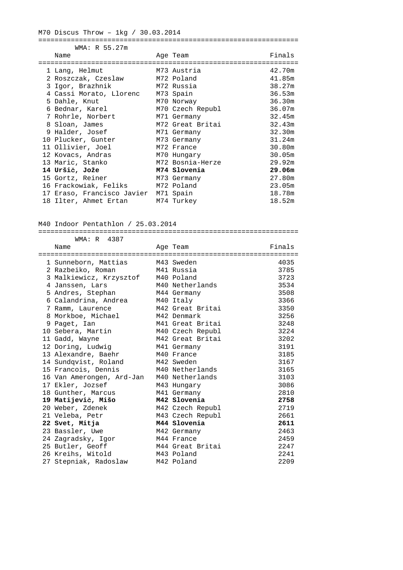# M70 Discus Throw – 1kg / 30.03.2014

#### ================================================================

| WMA: R 55.27m                        |                  |        |
|--------------------------------------|------------------|--------|
| Name                                 | Age Team         | Finals |
|                                      |                  |        |
| 1 Lang, Helmut                       | M73 Austria      | 42.70m |
| 2 Roszczak, Czeslaw                  | M72 Poland       | 41.85m |
| M72 Russia<br>3 Igor, Brazhnik       |                  | 38.27m |
| 4 Cassi Morato, Llorenc M73 Spain    |                  | 36.53m |
| 5 Dahle, Knut                        | M70 Norway       | 36.30m |
| 6 Bednar, Karel                      | M70 Czech Republ | 36.07m |
| 7 Rohrle, Norbert                    | M71 Germany      | 32.45m |
| 8 Sloan, James                       | M72 Great Britai | 32.43m |
| 9 Halder, Josef                      | M71 Germany      | 32.30m |
| 10 Plucker, Gunter                   | M73 Germany      | 31.24m |
| 11 Ollivier, Joel                    | M72 France       | 30.80m |
| 12 Kovacs, Andras                    | M70 Hungary      | 30.05m |
| 13 Maric, Stanko                     | M72 Bosnia-Herze | 29.92m |
| 14 Uršič, Jože                       | M74 Slovenia     | 29.06m |
| 15 Gortz, Reiner                     | M73 Germany      | 27.80m |
| 16 Frackowiak, Feliks M72 Poland     |                  | 23.05m |
| 17 Eraso, Francisco Javier M71 Spain |                  | 18.78m |
| 18 Ilter, Ahmet Ertan M74 Turkey     |                  | 18.52m |
|                                      |                  |        |

## M40 Indoor Pentathlon / 25.03.2014

|  | WMA: R 4387                        |  |                  |        |  |  |
|--|------------------------------------|--|------------------|--------|--|--|
|  | Name                               |  | Age Team         | Finals |  |  |
|  |                                    |  |                  |        |  |  |
|  | 1 Sunneborn, Mattias M43 Sweden    |  |                  | 4035   |  |  |
|  | 2 Razbeiko, Roman<br>M41 Russia    |  |                  | 3785   |  |  |
|  | 3 Malkiewicz, Krzysztof M40 Poland |  |                  | 3723   |  |  |
|  | 4 Janssen, Lars                    |  | M40 Netherlands  | 3534   |  |  |
|  | 5 Andres, Stephan                  |  | M44 Germany      | 3508   |  |  |
|  | 6 Calandrina, Andrea               |  | M40 Italy        | 3366   |  |  |
|  | 7 Ramm, Laurence                   |  | M42 Great Britai | 3350   |  |  |
|  | 8 Morkboe, Michael                 |  | M42 Denmark      | 3256   |  |  |
|  | 9 Paget, Ian                       |  | M41 Great Britai | 3248   |  |  |
|  | 10 Sebera, Martin                  |  | M40 Czech Republ | 3224   |  |  |
|  | 11 Gadd, Wayne                     |  | M42 Great Britai | 3202   |  |  |
|  | 12 Doring, Ludwig                  |  | M41 Germany      | 3191   |  |  |
|  | 13 Alexandre, Baehr                |  | M40 France       | 3185   |  |  |
|  | 14 Sundqvist, Roland               |  | M42 Sweden       | 3167   |  |  |
|  | 15 Francois, Dennis                |  | M40 Netherlands  | 3165   |  |  |
|  | 16 Van Amerongen, Ard-Jan          |  | M40 Netherlands  | 3103   |  |  |
|  | 17 Ekler, Jozsef                   |  | M43 Hungary      | 3086   |  |  |
|  | 18 Gunther, Marcus                 |  | M41 Germany      | 2810   |  |  |
|  | 19 Matijevič, Mišo                 |  | M42 Slovenia     | 2758   |  |  |
|  | 20 Weber, Zdenek                   |  | M42 Czech Republ | 2719   |  |  |
|  | 21 Veleba, Petr                    |  | M43 Czech Republ | 2661   |  |  |
|  | 22 Svet, Mitja                     |  | M44 Slovenia     | 2611   |  |  |
|  | 23 Bassler, Uwe                    |  | M42 Germany      | 2463   |  |  |
|  | 24 Zagradsky, Igor                 |  | M44 France       | 2459   |  |  |
|  | 25 Butler, Geoff                   |  | M44 Great Britai | 2247   |  |  |
|  | 26 Kreihs, Witold                  |  | M43 Poland       | 2241   |  |  |
|  | 27 Stepniak, Radoslaw              |  | M42 Poland       | 2209   |  |  |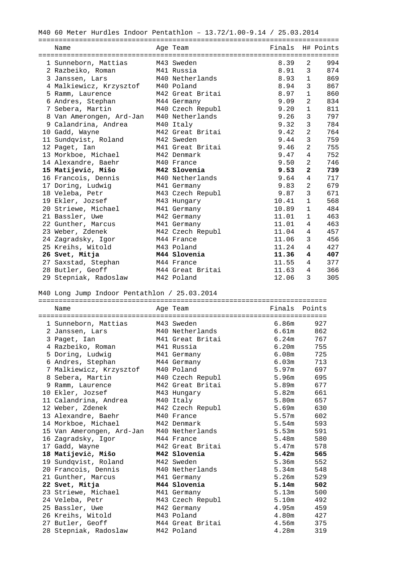| M40 60 Meter Hurdles Indoor Pentathlon - 13.72/1.00-9.14 / 25.03.2014 |  |                  |        |                |           |  |  |
|-----------------------------------------------------------------------|--|------------------|--------|----------------|-----------|--|--|
| Name                                                                  |  | Age Team         | Finals |                | H# Points |  |  |
| 1 Sunneborn, Mattias                                                  |  | M43 Sweden       | 8.39   | 2              | 994       |  |  |
| 2 Razbeiko, Roman                                                     |  | M41 Russia       | 8.91   | 3              | 874       |  |  |
| 3 Janssen, Lars                                                       |  | M40 Netherlands  | 8.93   | $\mathbf{1}$   | 869       |  |  |
| 4 Malkiewicz, Krzysztof M40 Poland                                    |  |                  | 8.94   | 3              | 867       |  |  |
| 5 Ramm, Laurence                                                      |  | M42 Great Britai | 8.97   | $\mathbf{1}$   | 860       |  |  |
| 6 Andres, Stephan                                                     |  | M44 Germany      | 9.09   | 2              | 834       |  |  |
| 7 Sebera, Martin                                                      |  | M40 Czech Republ | 9.20   | $\mathbf{1}$   | 811       |  |  |
| 8 Van Amerongen, Ard-Jan                                              |  | M40 Netherlands  | 9.26   | 3              | 797       |  |  |
| 9 Calandrina, Andrea                                                  |  | M40 Italy        | 9.32   | 3              | 784       |  |  |
| 10 Gadd, Wayne                                                        |  | M42 Great Britai | 9.42   | 2              | 764       |  |  |
| 11 Sundqvist, Roland                                                  |  | M42 Sweden       | 9.44   | 3              | 759       |  |  |
| 12 Paget, Ian                                                         |  | M41 Great Britai | 9.46   | 2              | 755       |  |  |
| 13 Morkboe, Michael                                                   |  | M42 Denmark      | 9.47   | $\overline{4}$ | 752       |  |  |
| 14 Alexandre, Baehr                                                   |  | M40 France       | 9.50   | 2              | 746       |  |  |
| 15 Matijevič, Mišo                                                    |  | M42 Slovenia     | 9.53   | $\mathbf{2}$   | 739       |  |  |
| 16 Francois, Dennis                                                   |  | M40 Netherlands  | 9.64   | $\overline{4}$ | 717       |  |  |
| 17 Doring, Ludwig                                                     |  | M41 Germany      | 9.83   | 2              | 679       |  |  |
| 18 Veleba, Petr                                                       |  | M43 Czech Republ | 9.87   | 3              | 671       |  |  |
| 19 Ekler, Jozsef                                                      |  | M43 Hungary      | 10.41  | $\mathbf{1}$   | 568       |  |  |
| 20 Striewe, Michael                                                   |  | M41 Germany      | 10.89  | $\mathbf{1}$   | 484       |  |  |
| 21 Bassler, Uwe                                                       |  | M42 Germany      | 11.01  | $\mathbf{1}$   | 463       |  |  |
| 22 Gunther, Marcus                                                    |  | M41 Germany      | 11.01  | 4              | 463       |  |  |
| 23 Weber, Zdenek                                                      |  | M42 Czech Republ | 11.04  | 4              | 457       |  |  |
| 24 Zagradsky, Igor                                                    |  | M44 France       | 11.06  | 3              | 456       |  |  |
| 25 Kreihs, Witold                                                     |  | M43 Poland       | 11.24  | 4              | 427       |  |  |
| 26 Svet, Mitja                                                        |  | M44 Slovenia     | 11.36  | 4              | 407       |  |  |
| 27 Saxstad, Stephan                                                   |  | M44 France       | 11.55  | 4              | 377       |  |  |
| 28 Butler, Geoff                                                      |  | M44 Great Britai | 11.63  | 4              | 366       |  |  |
| 29 Stepniak, Radoslaw                                                 |  | M42 Poland       | 12.06  | 3              | 305       |  |  |
| M40 Long Jump Indoor Pentathlon / 25.03.2014                          |  |                  |        |                |           |  |  |
|                                                                       |  |                  |        |                |           |  |  |
| Name                                                                  |  | Age Team         | Finals |                | Points    |  |  |

| 1 Sunneborn, Mattias      |  | M43 Sweden       | 6.86m       | 927 |  |  |
|---------------------------|--|------------------|-------------|-----|--|--|
| 2 Janssen, Lars           |  | M40 Netherlands  | 6.61m       | 862 |  |  |
| 3 Paget, Ian              |  | M41 Great Britai | 6.24m       | 767 |  |  |
| 4 Razbeiko, Roman         |  | M41 Russia       | 6.20m 755   |     |  |  |
| 5 Doring, Ludwig          |  | M41 Germany      | 6.08m 725   |     |  |  |
| 6 Andres, Stephan         |  | M44 Germany      | 6.03m       | 713 |  |  |
| 7 Malkiewicz, Krzysztof   |  | M40 Poland       | 5.97m       | 697 |  |  |
| 8 Sebera, Martin          |  | M40 Czech Republ | 5.96m 695   |     |  |  |
| 9 Ramm, Laurence          |  | M42 Great Britai | 5.89m       | 677 |  |  |
| 10 Ekler, Jozsef          |  | M43 Hungary      | 5.82m       | 661 |  |  |
| 11 Calandrina, Andrea     |  | M40 Italy        | 5.80m 657   |     |  |  |
| 12 Weber, Zdenek          |  | M42 Czech Republ | 5.69m       | 630 |  |  |
| 13 Alexandre, Baehr       |  | M40 France       | 5.57m       | 602 |  |  |
| 14 Morkboe, Michael       |  | M42 Denmark      | 5.54m 593   |     |  |  |
| 15 Van Amerongen, Ard-Jan |  | M40 Netherlands  | 5.53m 591   |     |  |  |
| 16 Zagradsky, Igor        |  | M44 France       | 5.48m 580   |     |  |  |
| 17 Gadd, Wayne            |  | M42 Great Britai | 5.47m 578   |     |  |  |
| 18 Matijevič, Mišo        |  | M42 Slovenia     | $5.42m$ 565 |     |  |  |
| 19 Sundqvist, Roland      |  | M42 Sweden       | 5.36m       | 552 |  |  |
| 20 Francois, Dennis       |  | M40 Netherlands  | 5.34m       | 548 |  |  |
| 21 Gunther, Marcus        |  | M41 Germany      | 5.26m 529   |     |  |  |
| 22 Svet, Mitja            |  | M44 Slovenia     | $5.14m$ 502 |     |  |  |
| 23 Striewe, Michael       |  | M41 Germany      | 5.13m       | 500 |  |  |
| 24 Veleba, Petr           |  | M43 Czech Republ | 5.10m       | 492 |  |  |
| 25 Bassler, Uwe           |  | M42 Germany      | 4.95m       | 459 |  |  |
| 26 Kreihs, Witold         |  | M43 Poland       | 4.80m       | 427 |  |  |
| 27 Butler, Geoff          |  | M44 Great Britai | 4.56m 375   |     |  |  |
| 28 Stepniak, Radoslaw     |  | M42 Poland       | 4.28m       | 319 |  |  |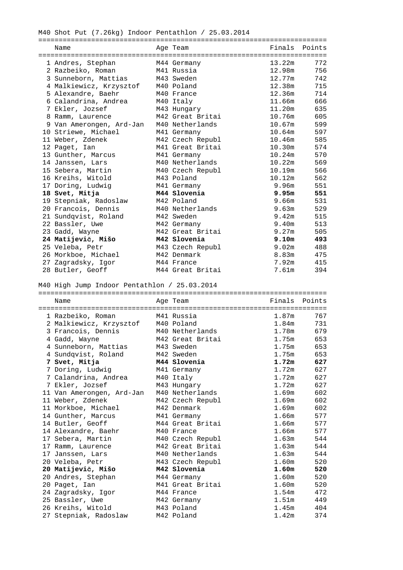M40 Shot Put (7.26kg) Indoor Pentathlon / 25.03.2014

| Name                     | Age Team         | Finals Points |             |
|--------------------------|------------------|---------------|-------------|
|                          |                  |               |             |
| 1 Andres, Stephan        | M44 Germany      | 13.22m        | 772         |
| 2 Razbeiko, Roman        | M41 Russia       | 12.98m        | 756         |
| 3 Sunneborn, Mattias     | M43 Sweden       | 12.77m        | 742         |
| 4 Malkiewicz, Krzysztof  | M40 Poland       | 12.38m        | 715         |
| 5 Alexandre, Baehr       | M40 France       | 12.36m        | 714         |
| 6 Calandrina, Andrea     | M40 Italy        | 11.66m        | 666         |
| 7 Ekler, Jozsef          | M43 Hungary      | 11.20m        | 635         |
| 8 Ramm, Laurence         | M42 Great Britai | 10.76m        | 605         |
| 9 Van Amerongen, Ard-Jan | M40 Netherlands  | 10.67m        | 599         |
| 10 Striewe, Michael      | M41 Germany      | 10.64m        | 597         |
| 11 Weber, Zdenek         | M42 Czech Republ | 10.46m        | 585         |
| 12 Paget, Ian            | M41 Great Britai | 10.30m        | 574         |
| 13 Gunther, Marcus       | M41 Germany      | 10.24m        | 570         |
| 14 Janssen, Lars         | M40 Netherlands  | 10.22m        | 569         |
| 15 Sebera, Martin        | M40 Czech Republ | 10.19m        | 566         |
| 16 Kreihs, Witold        | M43 Poland       | 10.12m        | 562         |
| 17 Doring, Ludwig        | M41 Germany      | 9.96m         | 551         |
| 18 Svet, Mitja           | M44 Slovenia     |               | $9.95m$ 551 |
| 19 Stepniak, Radoslaw    | M42 Poland       | 9.66m         | 531         |
| 20 Francois, Dennis      | M40 Netherlands  | 9.63m         | 529         |
| 21 Sundqvist, Roland     | M42 Sweden       | 9.42m         | 515         |
| 22 Bassler, Uwe          | M42 Germany      | 9.40m         | 513         |
| 23 Gadd, Wayne           | M42 Great Britai | 9.27m         | 505         |
| 24 Matijevič, Mišo       | M42 Slovenia     | 9.10m         | 493         |
| 25 Veleba, Petr          | M43 Czech Republ | 9.02m         | 488         |
| 26 Morkboe, Michael      | M42 Denmark      | 8.83m         | 475         |
| 27 Zagradsky, Igor       | M44 France       | 7.92m         | 415         |
| 28 Butler, Geoff         | M44 Great Britai | 7.61m         | 394         |

M40 High Jump Indoor Pentathlon / 25.03.2014

| Name                      |  | Age Team         | Finals Points     |           |  |  |
|---------------------------|--|------------------|-------------------|-----------|--|--|
|                           |  |                  |                   |           |  |  |
| 1 Razbeiko, Roman         |  | M41 Russia       | 1.87m             | 767       |  |  |
| 2 Malkiewicz, Krzysztof   |  | M40 Poland       | 1.84 <sub>m</sub> | 731       |  |  |
| 3 Francois, Dennis        |  | M40 Netherlands  | 1.78m             | 679       |  |  |
| 4 Gadd, Wayne             |  | M42 Great Britai |                   | 1.75m 653 |  |  |
| 4 Sunneborn, Mattias      |  | M43 Sweden       | 1.75m             | 653       |  |  |
| 4 Sundqvist, Roland       |  | M42 Sweden       | 1.75m             | 653       |  |  |
| 7 Svet, Mitja             |  | M44 Slovenia     | 1.72m             | 627       |  |  |
| 7 Doring, Ludwig          |  | M41 Germany      | 1.72m             | 627       |  |  |
| 7 Calandrina, Andrea      |  | M40 Italy        | 1.72m             | 627       |  |  |
| 7 Ekler, Jozsef           |  | M43 Hungary      | 1.72m             | 627       |  |  |
| 11 Van Amerongen, Ard-Jan |  | M40 Netherlands  | 1.69m             | 602       |  |  |
| 11 Weber, Zdenek          |  | M42 Czech Republ | 1.69m             | 602       |  |  |
| 11 Morkboe, Michael       |  | M42 Denmark      | 1.69m             | 602       |  |  |
| 14 Gunther, Marcus        |  | M41 Germany      | 1.66m             | 577       |  |  |
| 14 Butler, Geoff          |  | M44 Great Britai | 1.66m             | 577       |  |  |
| 14 Alexandre, Baehr       |  | M40 France       | 1.66m             | 577       |  |  |
| 17 Sebera, Martin         |  | M40 Czech Republ | 1.63m             | 544       |  |  |
| 17 Ramm, Laurence         |  | M42 Great Britai | 1.63m             | 544       |  |  |
| 17 Janssen, Lars          |  | M40 Netherlands  | 1.63m             | 544       |  |  |
| 20 Veleba, Petr           |  | M43 Czech Republ | 1.60m             | 520       |  |  |
| 20 Matijevič, Mišo        |  | M42 Slovenia     | 1.60m             | 520       |  |  |
| 20 Andres, Stephan        |  | M44 Germany      | 1.60m             | 520       |  |  |
| 20 Paget, Ian             |  | M41 Great Britai | 1.60m             | 520       |  |  |
| 24 Zagradsky, Igor        |  | M44 France       | 1.54m             | 472       |  |  |
| 25 Bassler, Uwe           |  | M42 Germany      | 1.51m             | 449       |  |  |
| 26 Kreihs, Witold         |  | M43 Poland       | 1.45m             | 404       |  |  |
| 27 Stepniak, Radoslaw     |  | M42 Poland       | 1.42m             | 374       |  |  |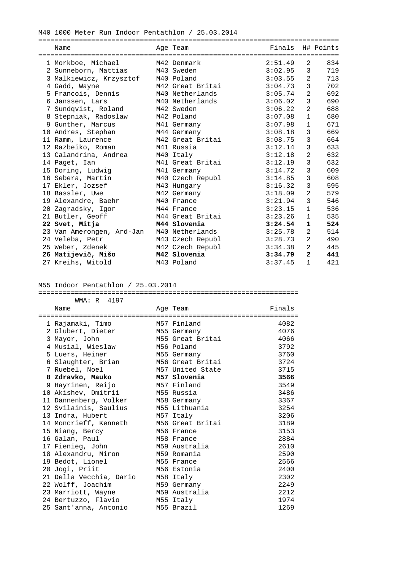#### M40 1000 Meter Run Indoor Pentathlon / 25.03.2014

| Name                      | Age Team         | Finals H# Points |                |     |
|---------------------------|------------------|------------------|----------------|-----|
|                           |                  |                  |                |     |
| 1 Morkboe, Michael        | M42 Denmark      | 2:51.49          | 2              | 834 |
| 2 Sunneborn, Mattias      | M43 Sweden       | 3:02.95          | 3              | 719 |
| 3 Malkiewicz, Krzysztof   | M40 Poland       | 3:03.55          | 2              | 713 |
| 4 Gadd, Wayne             | M42 Great Britai | 3:04.73          | 3              | 702 |
| 5 Francois, Dennis        | M40 Netherlands  | 3:05.74          | 2              | 692 |
| 6 Janssen, Lars           | M40 Netherlands  | 3:06.02          | 3              | 690 |
| 7 Sundqvist, Roland       | M42 Sweden       | 3:06.22          | 2              | 688 |
| 8 Stepniak, Radoslaw      | M42 Poland       | 3:07.08          | $\mathbf{1}$   | 680 |
| 9 Gunther, Marcus         | M41 Germany      | 3:07.98          | $\mathbf{1}$   | 671 |
| 10 Andres, Stephan        | M44 Germany      | 3:08.18          | 3              | 669 |
| 11 Ramm, Laurence         | M42 Great Britai | 3:08.75          | 3              | 664 |
| 12 Razbeiko, Roman        | M41 Russia       | 3:12.14          | 3              | 633 |
| 13 Calandrina, Andrea     | M40 Italy        | 3:12.18          | $\overline{a}$ | 632 |
| 14 Paget, Ian             | M41 Great Britai | 3:12.19          | 3              | 632 |
| 15 Doring, Ludwig         | M41 Germany      | 3:14.72          | 3              | 609 |
| 16 Sebera, Martin         | M40 Czech Republ | 3:14.85          | 3              | 608 |
| 17 Ekler, Jozsef          | M43 Hungary      | 3:16.32          | 3              | 595 |
| 18 Bassler, Uwe           | M42 Germany      | 3:18.09          | 2              | 579 |
| 19 Alexandre, Baehr       | M40 France       | 3:21.94          | 3              | 546 |
| 20 Zagradsky, Igor        | M44 France       | 3:23.15          | $\mathbf{1}$   | 536 |
| 21 Butler, Geoff          | M44 Great Britai | 3:23.26          | $\mathbf{1}$   | 535 |
| 22 Svet, Mitja            | M44 Slovenia     | 3:24.54          | $\mathbf 1$    | 524 |
| 23 Van Amerongen, Ard-Jan | M40 Netherlands  | 3:25.78          | $\mathbf{2}$   | 514 |
| 24 Veleba, Petr           | M43 Czech Republ | 3:28.73          | $\overline{a}$ | 490 |
| 25 Weber, Zdenek          | M42 Czech Republ | 3:34.38          | 2              | 445 |
| 26 Matijevič, Mišo        | M42 Slovenia     | 3:34.79          | $\overline{2}$ | 441 |
| 27 Kreihs, Witold         | M43 Poland       | 3:37.45          | $\mathbf{1}$   | 421 |

# M55 Indoor Pentathlon / 25.03.2014

| WMA: R 4197              |                  |        |
|--------------------------|------------------|--------|
| Name                     | Age Team         | Finals |
| ======================== | ========         |        |
| 1 Rajamaki, Timo         | M57 Finland      | 4082   |
| 2 Glubert, Dieter        | M55 Germany      | 4076   |
| 3 Mayor, John            | M55 Great Britai | 4066   |
| 4 Musial, Wieslaw        | M56 Poland       | 3792   |
| 5 Luers, Heiner          | M55 Germany      | 3760   |
| 6 Slaughter, Brian       | M56 Great Britai | 3724   |
| 7 Ruebel, Noel           | M57 United State | 3715   |
| 8 Zdravko, Mauko         | M57 Slovenia     | 3566   |
| 9 Hayrinen, Reijo        | M57 Finland      | 3549   |
| 10 Akishev, Dmitrii      | M55 Russia       | 3486   |
| 11 Dannenberg, Volker    | M58 Germany      | 3367   |
| 12 Svilainis, Saulius    | M55 Lithuania    | 3254   |
| 13 Indra, Hubert         | M57 Italy        | 3206   |
| 14 Moncrieff, Kenneth    | M56 Great Britai | 3189   |
| 15 Niang, Bercy          | M56 France       | 3153   |
| 16 Galan, Paul           | M58 France       | 2884   |
| 17 Fienieg, John         | M59 Australia    | 2610   |
| 18 Alexandru, Miron      | M59 Romania      | 2590   |
| 19 Bedot, Lionel         | M55 France       | 2566   |
| 20 Jogi, Priit           | M56 Estonia      | 2400   |
| 21 Della Vecchia, Dario  | M58 Italy        | 2302   |
| 22 Wolff, Joachim        | M59 Germany      | 2249   |
| 23 Marriott, Wayne       | M59 Australia    | 2212   |
| 24 Bertuzzo, Flavio      | M55 Italy        | 1974   |
| 25 Sant'anna, Antonio    | M55 Brazil       | 1269   |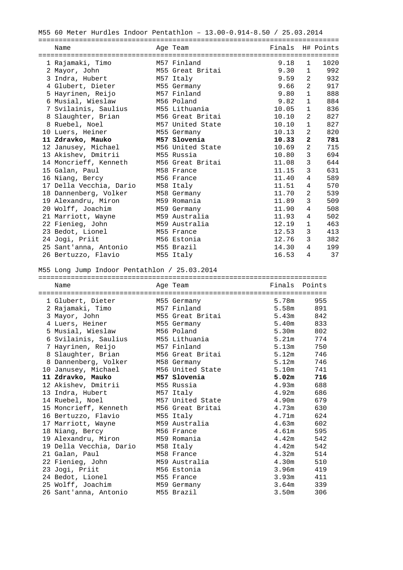| M55 60 Meter Hurdles Indoor Pentathlon - 13.00-0.914-8.50 / 25.03.2014 |  |                  |                  |                 |                                       |  |  |  |
|------------------------------------------------------------------------|--|------------------|------------------|-----------------|---------------------------------------|--|--|--|
|                                                                        |  |                  |                  |                 |                                       |  |  |  |
| Name                                                                   |  | Age Team         | Finals H# Points |                 |                                       |  |  |  |
| 1 Rajamaki, Timo                                                       |  | M57 Finland      | 9.18             | 1               | 1020                                  |  |  |  |
|                                                                        |  | M55 Great Britai | 9.30             |                 | 992<br>$1 \quad \blacksquare$         |  |  |  |
| 2 Mayor, John                                                          |  |                  |                  |                 |                                       |  |  |  |
| 3 Indra, Hubert                                                        |  | M57 Italy        | 9.59             |                 | $2 \left( \frac{1}{2} \right)$<br>932 |  |  |  |
| 4 Glubert, Dieter                                                      |  | M55 Germany      | 9.66             | 2               | 917                                   |  |  |  |
| 5 Hayrinen, Reijo                                                      |  | M57 Finland      | 9.80             |                 | $1 \quad \blacksquare$<br>888         |  |  |  |
| 6 Musial, Wieslaw                                                      |  | M56 Poland       | 9.82             |                 | 884<br>$1 \quad \blacksquare$         |  |  |  |
| 7 Svilainis, Saulius       M55 Lithuania                               |  |                  | 10.05            |                 | $1 \quad \blacksquare$<br>836         |  |  |  |
| 8 Slaughter, Brian M56 Great Britai                                    |  |                  | 10.10            | $\overline{2}$  | 827                                   |  |  |  |
| 8 Ruebel, Noel                                                         |  | M57 United State | 10.10            | 1               | 827                                   |  |  |  |
| 10 Luers, Heiner                                                       |  | M55 Germany      | 10.13            | $2^{\circ}$     | 820                                   |  |  |  |
| 11 Zdravko, Mauko                                                      |  | M57 Slovenia     | 10.33            | $\overline{2}$  | 781                                   |  |  |  |
| 12 Janusey, Michael                                                    |  | M56 United State | 10.69            | 2               | 715                                   |  |  |  |
| 13 Akishev, Dmitrii                                                    |  | M55 Russia       | 10.80            | $\mathbf{3}$    | 694                                   |  |  |  |
| 14 Moncrieff, Kenneth                                                  |  | M56 Great Britai | 11.08            | 3               | 644                                   |  |  |  |
| 15 Galan, Paul                                                         |  | M58 France       | 11.15            | 3               | 631                                   |  |  |  |
| 16 Niang, Bercy                                                        |  | M56 France       | 11.40            | 4               | 589                                   |  |  |  |
| 17 Della Vecchia, Dario                                                |  | M58 Italy        | 11.51            | $4\overline{ }$ | 570                                   |  |  |  |
| 18 Dannenberg, Volker                                                  |  | M58 Germany      | 11.70            | 2               | 539                                   |  |  |  |
| 19 Alexandru, Miron                                                    |  | M59 Romania      | 11.89            | 3               | 509                                   |  |  |  |
| 20 Wolff, Joachim                                                      |  | M59 Germany      | 11.90            | 4               | 508                                   |  |  |  |
| 21 Marriott, Wayne                                                     |  | M59 Australia    | 11.93            | $\overline{4}$  | 502                                   |  |  |  |
| 22 Fienieg, John                                                       |  | M59 Australia    | 12.19            | $\mathbf{1}$    | 463                                   |  |  |  |
| 23 Bedot, Lionel                                                       |  | M55 France       | 12.53            | 3               | 413                                   |  |  |  |
| 24 Jogi, Priit                                                         |  | M56 Estonia      | 12.76            | 3               | 382                                   |  |  |  |
| 25 Sant'anna, Antonio                                                  |  | M55 Brazil       | 14.30            | $4\overline{ }$ | 199                                   |  |  |  |
| 26 Bertuzzo, Flavio                                                    |  | M55 Italy        | 16.53            | 4               | 37                                    |  |  |  |

#### M55 Long Jump Indoor Pentathlon / 25.03.2014

| Name                    | Age Team         | Finals Points     |               |
|-------------------------|------------------|-------------------|---------------|
|                         |                  |                   |               |
| 1 Glubert, Dieter       | M55 Germany      | 5.78m             | 955           |
| 2 Rajamaki, Timo        | M57 Finland      | 5.58m             | 891           |
| 3 Mayor, John           | M55 Great Britai |                   | 5.43m 842     |
| 4 Luers, Heiner         | M55 Germany      |                   | 5.40m 833     |
| 5 Musial, Wieslaw       | M56 Poland       |                   | 5.30m 802     |
| 6 Svilainis, Saulius    | M55 Lithuania    | 5.21m             | 774           |
| 7 Hayrinen, Reijo       | M57 Finland      | 5.13m             | 750           |
| 8 Slaughter, Brian      | M56 Great Britai | 5.12m             | 746           |
| 8 Dannenberg, Volker    | M58 Germany      | 5.12m             | 746           |
| 10 Janusey, Michael     | M56 United State |                   | 5.10m 741     |
| 11 Zdravko, Mauko       | M57 Slovenia     | 5.02m             | 716           |
| 12 Akishev, Dmitrii     | M55 Russia       | 4.93m             | 688           |
| 13 Indra, Hubert        | M57 Italy        |                   | $4.92m$ 686   |
| 14 Ruebel, Noel         | M57 United State | 4.90m             | 679           |
| 15 Moncrieff, Kenneth   | M56 Great Britai | 4.73m             | 630           |
| 16 Bertuzzo, Flavio     | M55 Italy        | 4.71m             | 624           |
| 17 Marriott, Wayne      | M59 Australia    | 4.63m             | 602           |
| 18 Niang, Bercy         | M56 France       | 4.61m             | 595           |
| 19 Alexandru, Miron     | M59 Romania      |                   | 4.42m 542     |
| 19 Della Vecchia, Dario | M58 Italy        |                   | $4.42m$ 542   |
| 21 Galan, Paul          | M58 France       | 4.32m             | 514           |
| 22 Fienieg, John        | M59 Australia    | 4.30m             | 510           |
| 23 Jogi, Priit          | M56 Estonia      | 3.96m             | 419           |
| 24 Bedot, Lionel        | M55 France       |                   | $3.93m$ $411$ |
| 25 Wolff, Joachim       | M59 Germany      | 3.64m             | 339           |
| 26 Sant'anna, Antonio   | M55 Brazil       | 3.50 <sub>m</sub> | 306           |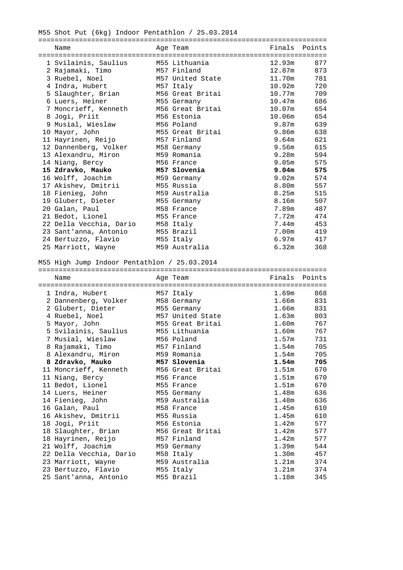M55 Shot Put (6kg) Indoor Pentathlon / 25.03.2014

| Name                    | Age Team                     | Finals Points |             |
|-------------------------|------------------------------|---------------|-------------|
|                         | ============================ |               |             |
| 1 Svilainis, Saulius    | M55 Lithuania                | 12.93m        | 877         |
| 2 Rajamaki, Timo        | M57 Finland                  | 12.87m        | 873         |
| 3 Ruebel, Noel          | M57 United State             | 11.70m        | 781         |
| 4 Indra, Hubert         | M57 Italy                    | 10.92m        | 720         |
| 5 Slaughter, Brian      | M56 Great Britai             | 10.77m        | 709         |
| 6 Luers, Heiner         | M55 Germany                  | 10.47m        | 686         |
| 7 Moncrieff, Kenneth    | M56 Great Britai             | 10.07m        | 654         |
| 8 Jogi, Priit           | M56 Estonia                  | 10.06m        | 654         |
| 9 Musial, Wieslaw       | M56 Poland                   | 9.87m         | 639         |
| 10 Mayor, John          | M55 Great Britai             | 9.86m         | 638         |
| 11 Hayrinen, Reijo      | M57 Finland                  | 9.64m         | 621         |
| 12 Dannenberg, Volker   | M58 Germany                  | 9.56m         | 615         |
| 13 Alexandru, Miron     | M59 Romania                  |               | 9.28m 594   |
| 14 Niang, Bercy         | M56 France                   |               | 9.05m 575   |
| 15 Zdravko, Mauko       | M57 Slovenia                 |               | $9.04m$ 575 |
| 16 Wolff, Joachim       | M59 Germany                  |               | $9.02m$ 574 |
| 17 Akishev, Dmitrii     | M55 Russia                   |               | 8.80m 557   |
| 18 Fienieg, John        | M59 Australia                | 8.25m         | 515         |
| 19 Glubert, Dieter      | M55 Germany                  | 8.16m         | 507         |
| 20 Galan, Paul          | M58 France                   | 7.89m         | 487         |
| 21 Bedot, Lionel        | M55 France                   | 7.72m         | 474         |
| 22 Della Vecchia, Dario | M58 Italy                    | 7.44m         | 453         |
| 23 Sant'anna, Antonio   | M55 Brazil                   | 7.00m         | 419         |
| 24 Bertuzzo, Flavio     | M55 Italy                    | 6.97m         | 417         |
| 25 Marriott, Wayne      | M59 Australia                | 6.32m         | 368         |

#### M55 High Jump Indoor Pentathlon / 25.03.2014

| Name                    | Age Team         | Finals Points |             |
|-------------------------|------------------|---------------|-------------|
|                         |                  |               |             |
| 1 Indra, Hubert         | M57 Italy        | 1.69m         | 868         |
| 2 Dannenberg, Volker    | M58 Germany      | 1.66m         | 831         |
| 2 Glubert, Dieter       | M55 Germany      |               | 1.66m 831   |
| 4 Ruebel, Noel          | M57 United State | 1.63m         | 803         |
| 5 Mayor, John           | M55 Great Britai | 1.60m         | 767         |
| 5 Svilainis, Saulius    | M55 Lithuania    | 1.60m         | 767         |
| 7 Musial, Wieslaw       | M56 Poland       | 1.57m         | 731         |
| 8 Rajamaki, Timo        | M57 Finland      | 1.54m         | 705         |
| 8 Alexandru, Miron      | M59 Romania      | 1.54m         | 705         |
| 8 Zdravko, Mauko        | M57 Slovenia     | 1.54m         | 705         |
| 11 Moncrieff, Kenneth   | M56 Great Britai | 1.51m         | 670         |
| 11 Niang, Bercy         | M56 France       | 1.51m         | 670         |
| 11 Bedot, Lionel        | M55 France       | 1.51m         | 670         |
| 14 Luers, Heiner        | M55 Germany      | 1.48m         | 636         |
| 14 Fienieg, John        | M59 Australia    | 1.48m         | 636         |
| 16 Galan, Paul          | M58 France       | 1.45m         | 610         |
| 16 Akishev, Dmitrii     | M55 Russia       | 1.45m         | 610         |
| 18 Jogi, Priit          | M56 Estonia      | 1.42m         | 577         |
| 18 Slaughter, Brian     | M56 Great Britai |               | $1.42m$ 577 |
| 18 Hayrinen, Reijo      | M57 Finland      | 1.42m         | 577         |
| 21 Wolff, Joachim       | M59 Germany      | 1.39m         | 544         |
| 22 Della Vecchia, Dario | M58 Italy        | 1.30m         | 457         |
| 23 Marriott, Wayne      | M59 Australia    | 1.21m         | 374         |
| 23 Bertuzzo, Flavio     | M55 Italy        | 1.21m         | 374         |
| 25 Sant'anna, Antonio   | M55 Brazil       | 1.18m         | 345         |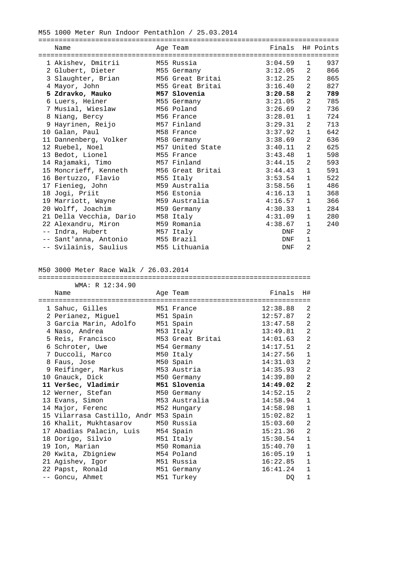M55 1000 Meter Run Indoor Pentathlon / 25.03.2014

|   | Name                    | Age Team         | Finals H# Points |                |     |
|---|-------------------------|------------------|------------------|----------------|-----|
|   |                         |                  |                  |                |     |
|   | 1 Akishev, Dmitrii      | M55 Russia       | 3:04.59          | $\mathbf{1}$   | 937 |
|   | 2 Glubert, Dieter       | M55 Germany      | 3:12.05          | 2              | 866 |
|   | 3 Slaughter, Brian      | M56 Great Britai | 3:12.25          | 2              | 865 |
|   | 4 Mayor, John           | M55 Great Britai | 3:16.40          | $\overline{2}$ | 827 |
|   | 5 Zdravko, Mauko        | M57 Slovenia     | 3:20.58          | $\mathbf{2}$   | 789 |
|   | 6 Luers, Heiner         | M55 Germany      | 3:21.05          | $\overline{2}$ | 785 |
|   | 7 Musial, Wieslaw       | M56 Poland       | 3:26.69          | 2              | 736 |
|   | 8 Niang, Bercy          | M56 France       | 3:28.01          | $\mathbf{1}$   | 724 |
| 9 | Hayrinen, Reijo         | M57 Finland      | 3:29.31          | 2              | 713 |
|   | 10 Galan, Paul          | M58 France       | 3:37.92          | $\mathbf{1}$   | 642 |
|   | 11 Dannenberg, Volker   | M58 Germany      | 3:38.69          | 2              | 636 |
|   | 12 Ruebel, Noel         | M57 United State | 3:40.11          | 2              | 625 |
|   | 13 Bedot, Lionel        | M55 France       | 3:43.48          | $\mathbf{1}$   | 598 |
|   | 14 Rajamaki, Timo       | M57 Finland      | 3:44.15          | $\overline{2}$ | 593 |
|   | 15 Moncrieff, Kenneth   | M56 Great Britai | 3:44.43          | $\mathbf{1}$   | 591 |
|   | 16 Bertuzzo, Flavio     | M55 Italy        | 3:53.54          | $\mathbf{1}$   | 522 |
|   | 17 Fienieg, John        | M59 Australia    | 3:58.56          | $\mathbf{1}$   | 486 |
|   | 18 Jogi, Priit          | M56 Estonia      | 4:16.13          | $\mathbf{1}$   | 368 |
|   | 19 Marriott, Wayne      | M59 Australia    | 4:16.57          | $\mathbf{1}$   | 366 |
|   | 20 Wolff, Joachim       | M59 Germany      | 4:30.33          | $\mathbf{1}$   | 284 |
|   | 21 Della Vecchia, Dario | M58 Italy        | 4:31.09          | $\mathbf{1}$   | 280 |
|   | 22 Alexandru, Miron     | M59 Romania      | 4:38.67          | $\mathbf{1}$   | 240 |
|   | -- Indra, Hubert        | M57 Italy        | <b>DNF</b>       | 2              |     |
|   | -- Sant'anna, Antonio   | M55 Brazil       | <b>DNF</b>       | $1\,$          |     |
|   | -- Svilainis, Saulius   | M55 Lithuania    | <b>DNF</b>       | $\overline{2}$ |     |

## M50 3000 Meter Race Walk / 26.03.2014

#### =================================================================== WMA: R 12:34.90

| Name                                  | Age Team         | Finals   | H#             |
|---------------------------------------|------------------|----------|----------------|
|                                       |                  |          |                |
| 1 Sahuc, Gilles                       | M51 France       | 12:38.88 | 2              |
| 2 Perianez, Miguel                    | M51 Spain        | 12:57.87 | 2              |
| 3 Garcia Marin, Adolfo                | M51 Spain        | 13:47.58 | $\overline{a}$ |
| 4 Naso, Andrea                        | M53 Italy        | 13:49.81 | $\overline{2}$ |
| 5 Reis, Francisco                     | M53 Great Britai | 14:01.63 | 2              |
| 6 Schroter, Uwe                       | M54 Germany      | 14:17.51 | $\overline{2}$ |
| 7 Duccoli, Marco                      | M50 Italy        | 14:27.56 | $\mathbf{1}$   |
| 8 Faus, Jose                          | M50 Spain        | 14:31.03 | $\overline{a}$ |
| 9 Reifinger, Markus                   | M53 Austria      | 14:35.93 | $\overline{a}$ |
| 10 Gnauck, Dick                       | M50 Germany      | 14:39.80 | 2              |
| 11 Veršec, Vladimir                   | M51 Slovenia     | 14:49.02 | $\mathbf{2}$   |
| 12 Werner, Stefan                     | M50 Germany      | 14:52.15 | $\overline{a}$ |
| 13 Evans, Simon                       | M53 Australia    | 14:58.94 | $\mathbf{1}$   |
| 14 Major, Ferenc M52 Hungary          |                  | 14:58.98 | $\mathbf{1}$   |
| 15 Vilarrasa Castillo, Andr M53 Spain |                  | 15:02.82 | $\mathbf{1}$   |
| 16 Khalit, Mukhtasarov                | M50 Russia       | 15:03.60 | 2              |
| 17 Abadias Palacin, Luis              | M54 Spain        | 15:21.36 | 2              |
| 18 Dorigo, Silvio                     | M51 Italy        | 15:30.54 | $\mathbf{1}$   |
| 19 Ion, Marian                        | M50 Romania      | 15:40.70 | $\mathbf{1}$   |
| 20 Kwita, Zbigniew                    | M54 Poland       | 16:05.19 | $\mathbf{1}$   |
| 21 Agishev, Igor                      | M51 Russia       | 16:22.85 | $\mathbf{1}$   |
| 22 Papst, Ronald                      | M51 Germany      | 16:41.24 | $\mathbf{1}$   |
| -- Goncu, Ahmet                       | M51 Turkey       | DQ       | $\mathbf{1}$   |
|                                       |                  |          |                |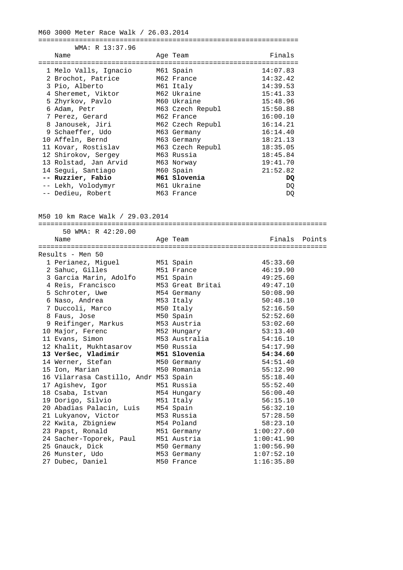M60 3000 Meter Race Walk / 26.03.2014

================================================================ WMA: R 13:37.96 Name **Age Team** Age Team Finals ================================================================ 1 Melo Valls, Ignacio M61 Spain 14:07.83

| 2 Brochot, Patrice    | M62 France       | 14:32.42 |
|-----------------------|------------------|----------|
| 3 Pio, Alberto        | M61 Italy        | 14:39.53 |
| 4 Sheremet, Viktor    | M62 Ukraine      | 15:41.33 |
| 5 Zhyrkov, Pavlo      | M60 Ukraine      | 15:48.96 |
| 6 Adam, Petr          | M63 Czech Republ | 15:50.88 |
| 7 Perez, Gerard       | M62 France       | 16:00.10 |
| 8 Janousek, Jiri      | M62 Czech Republ | 16:14.21 |
| 9 Schaeffer, Udo      | M63 Germany      | 16:14.40 |
| 10 Affeln, Bernd      | M63 Germany      | 18:21.13 |
| 11 Kovar, Rostislav   | M63 Czech Republ | 18:35.05 |
| 12 Shirokov, Sergey   | M63 Russia       | 18:45.84 |
| 13 Rolstad, Jan Arvid | M63 Norway       | 19:41.70 |
| 14 Segui, Santiago    | M60 Spain        | 21:52.82 |
| -- Ruzzier, Fabio     | M61 Slovenia     | DQ       |
| -- Lekh, Volodymyr    | M61 Ukraine      | DQ       |
| -- Dedieu, Robert     | M63 France       | DQ       |

M50 10 km Race Walk / 29.03.2014

======================================================================= 50 WMA: R 42:20.00 Name **Age Team** Age Team Finals Points ======================================================================= Results - Men 50 1 Perianez, Miguel M51 Spain 1991 M533.60 2 Sahuc, Gilles M51 France 46:19.90 3 Garcia Marin, Adolfo M51 Spain 49:25.60 4 Reis, Francisco M53 Great Britai 49:47.10 5 Schroter, Uwe M54 Germany 50:08.90 6 Naso, Andrea M53 Italy 50:48.10 7 Duccoli, Marco M50 Italy 52:16.50 8 Faus, Jose M50 Spain 52:52.60 9 Reifinger, Markus M53 Austria 1988 1996 1997 1998 53:02.60 10 Major, Ferenc M52 Hungary 53:13.40 11 Evans, Simon M53 Australia 54:16.10 12 Khalit, Mukhtasarov M50 Russia 54:17.90  **13 Veršec, Vladimir M51 Slovenia 54:34.60**  14 Werner, Stefan M50 Germany 54:51.40 15 Ion, Marian M50 Romania 55:12.90 16 Vilarrasa Castillo, Andr M53 Spain 55:18.40 17 Agishev, Igor M51 Russia 55:52.40 18 Csaba, Istvan M54 Hungary 56:00.40 19 Dorigo, Silvio M51 Italy 56:15.10 20 Abadias Palacin, Luis M54 Spain 56:32.10 21 Lukyanov, Victor M53 Russia 57:28.50 22 Kwita, Zbigniew M54 Poland 58:23.10 23 Papst, Ronald M51 Germany 1:00:27.60 24 Sacher-Toporek, Paul M51 Austria 1:00:41.90 25 Gnauck, Dick M50 Germany 1:00:56.90 26 Munster, Udo M53 Germany 1:07:52.10 27 Dubec, Daniel M50 France 1:16:35.80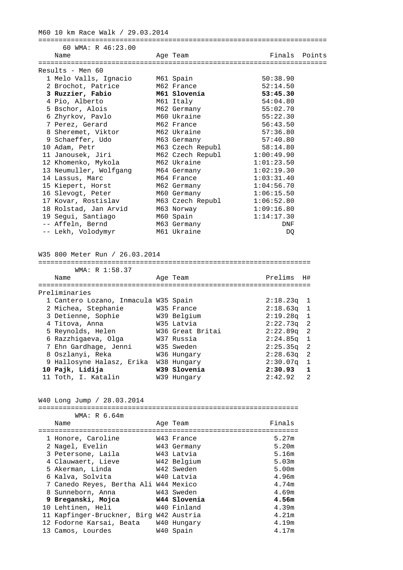M60 10 km Race Walk / 29.03.2014

======================================================================= 60 WMA: R 46:23.00 Name **Age Team** Age Team Finals Points ======================================================================= Results - Men 60 1 Melo Valls, Ignacio M61 Spain 50:38.90 2 Brochot, Patrice M62 France 52:14.50  **3 Ruzzier, Fabio M61 Slovenia 53:45.30**  4 Pio, Alberto M61 Italy 54:04.80 5 Bschor, Alois M62 Germany 55:02.70 6 Zhyrkov, Pavlo M60 Ukraine 55:22.30 7 Perez, Gerard M62 France 56:43.50 8 Sheremet, Viktor M62 Ukraine 197:36.80 9 Schaeffer, Udo M63 Germany 57:40.80 10 Adam, Petr M63 Czech Republ 58:14.80 11 Janousek, Jiri M62 Czech Republ 1:00:49.90 12 Khomenko, Mykola M62 Ukraine 1:01:23.50 13 Neumuller, Wolfgang M64 Germany 1:02:19.30 14 Lassus, Marc M64 France 1:03:31.40 15 Kiepert, Horst M62 Germany 1:04:56.70 16 Slevogt, Peter M60 Germany 1:06:15.50 17 Kovar, Rostislav M63 Czech Republ 1:06:52.80 18 Rolstad, Jan Arvid M63 Norway 1:09:16.80 19 Segui, Santiago M60 Spain 1:14:17.30 -- Affeln, Bernd M63 Germany DNF -- Lekh, Volodymyr M61 Ukraine M61 Ukraine DQ

W35 800 Meter Run / 26.03.2014

| WMA: R 1:58.37                       |                  |              |                |
|--------------------------------------|------------------|--------------|----------------|
| Name                                 | Age Team         | Prelims      | H#             |
|                                      |                  |              |                |
| Preliminaries                        |                  |              |                |
| 1 Cantero Lozano, Inmacula W35 Spain |                  | $2:18.23q$ 1 |                |
| 2 Michea, Stephanie                  | W35 France       | $2:18.63q$ 1 |                |
| 3 Detienne, Sophie                   | W39 Belgium      | $2:19.28$ a  | $\overline{1}$ |
| 4 Titova, Anna                       | W35 Latvia       | $2:22.73q$ 2 |                |
| 5 Reynolds, Helen                    | W36 Great Britai | $2:22.89q$ 2 |                |
| 6 Razzhigaeva, Olga                  | W37 Russia       | $2:24.85$ q  | - 1            |
| 7 Ehn Gardhage, Jenni                | W35 Sweden       | 2:25.35q     | $\overline{2}$ |
| 8 Oszlanyi, Reka                     | W36 Hungary      | 2:28.63q     | $\overline{2}$ |
| 9 Hallosyne Halasz, Erika            | W38 Hungary      | 2:30.07q     | $\overline{1}$ |
| 10 Pajk, Lidija                      | W39 Slovenia     | 2:30.93      | 1              |
| 11 Toth, I. Katalin                  | W39 Hungary      | 2:42.92      | $\mathfrak{D}$ |

W40 Long Jump / 28.03.2014

WMA: R 6.64m

| Name                                  | Age Team     | Finals |
|---------------------------------------|--------------|--------|
|                                       |              |        |
| 1 Honore, Caroline                    | W43 France   | 5.27m  |
| 2 Nagel, Evelin                       | W43 Germany  | 5.20m  |
| 3 Petersone, Laila                    | W43 Latvia   | 5.16m  |
| 4 Clauwaert, Lieve                    | W42 Belgium  | 5.03m  |
| 5 Akerman, Linda                      | W42 Sweden   | 5.00m  |
| 6 Kalva, Solvita                      | W40 Latvia   | 4.96m  |
| 7 Canedo Reyes, Bertha Ali W44 Mexico |              | 4.74m  |
| 8 Sunneborn, Anna                     | W43 Sweden   | 4.69m  |
| 9 Breganski, Mojca                    | W44 Slovenia | 4.56m  |
| 10 Lehtinen, Heli                     | W40 Finland  | 4.39m  |
| 11 Kapfinger-Bruckner, Birg           | W42 Austria  | 4.21m  |
| 12 Fodorne Karsai, Beata              | W40 Hungary  | 4.19m  |
| 13 Camos, Lourdes                     | W40 Spain    | 4.17m  |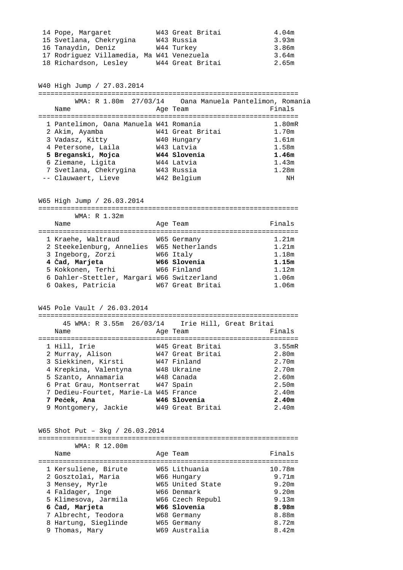| 14 Pope, Margaret                         | W43 Great Britai | 4.04m |
|-------------------------------------------|------------------|-------|
| 15 Svetlana, Chekrygina                   | W43 Russia       | 3.93m |
| 16 Tanaydin, Deniz                        | W44 Turkey       | 3.86m |
| 17 Rodriquez Villamedia, Ma W41 Venezuela |                  | 3.64m |
| 18 Richardson, Lesley                     | W44 Great Britai | 2.65m |

W40 High Jump / 27.03.2014

================================================================ WMA: R 1.80m 27/03/14 Oana Manuela Pantelimon, Romania Name **Age Team** Age Team Finals ================================================================ 1 Pantelimon, Oana Manuela W41 Romania 1.80mR<br>2 Akim, Ayamba 1.70m 2 Akim, Ayamba W41 Great Britai 1.70m 3 Vadasz, Kitty W40 Hungary 1.61m 4 Petersone, Laila W43 Latvia 1.58m  **5 Breganski, Mojca W44 Slovenia 1.46m**  6 Ziemane, Ligita W44 Latvia 1.43m 7 Svetlana, Chekrygina W43 Russia 1.28m -- Clauwaert, Lieve W42 Belgium NH

W65 High Jump / 26.03.2014

================================================================

| WMA: R 1.32m                               |          |                  |                   |
|--------------------------------------------|----------|------------------|-------------------|
| Name                                       | Age Team |                  | Finals            |
|                                            |          |                  |                   |
| 1 Kraehe, Waltraud                         |          | W65 Germany      | 1.21m             |
| 2 Steekelenburg, Annelies                  |          | W65 Netherlands  | 1.21m             |
| 3 Ingeborg, Zorzi                          |          | W66 Italy        | 1.18m             |
| 4 Čad, Marjeta                             |          | W66 Slovenia     | 1.15m             |
| 5 Kokkonen, Terhi                          |          | W66 Finland      | 1.12m             |
| 6 Dahler-Stettler, Margari W66 Switzerland |          |                  | 1.06m             |
| 6 Oakes, Patricia                          |          | W67 Great Britai | 1.06 <sub>m</sub> |

W45 Pole Vault / 26.03.2014

|                                       | 45 WMA: R 3.55m  26/03/14  Irie Hill, Great Britai |           |
|---------------------------------------|----------------------------------------------------|-----------|
| Name                                  | Age Team                                           | Finals    |
|                                       |                                                    |           |
| 1 Hill, Irie                          | W45 Great Britai                                   | $3.55$ mR |
| 2 Murray, Alison                      | W47 Great Britai                                   | 2.80m     |
| 3 Siekkinen, Kirsti                   | W47 Finland                                        | 2.70m     |
| 4 Krepkina, Valentyna                 | W48 Ukraine                                        | 2.70m     |
| 5 Szanto, Annamaria                   | W48 Canada                                         | 2.60m     |
| 6 Prat Grau, Montserrat               | W47 Spain                                          | 2.50m     |
| 7 Dedieu-Fourtet, Marie-La W45 France |                                                    | 2.40m     |
| 7 Peček, Ana                          | W46 Slovenia                                       | 2.40m     |
| 9 Montgomery, Jackie                  | W49 Great Britai                                   | 2.40m     |

W65 Shot Put – 3kg / 26.03.2014

#### ================================================================ WMA: R 12.00m

| Name                 | Age Team         | Finals            |
|----------------------|------------------|-------------------|
|                      |                  |                   |
| 1 Kersuliene, Birute | W65 Lithuania    | 10.78m            |
| 2 Gosztolai, Maria   | W66 Hungary      | 9.71m             |
| 3 Mensey, Myrle      | W65 United State | 9.20m             |
| 4 Faldager, Inge     | W66 Denmark      | 9.20m             |
| 5 Klimesova, Jarmila | W66 Czech Republ | 9.13m             |
| 6 Čad, Marjeta       | W66 Slovenia     | 8.98 <sub>m</sub> |
| 7 Albrecht, Teodora  | W68 Germany      | 8.88m             |
| 8 Hartung, Sieglinde | W65 Germany      | 8.72m             |
| 9 Thomas, Mary       | W69 Australia    | 8.42m             |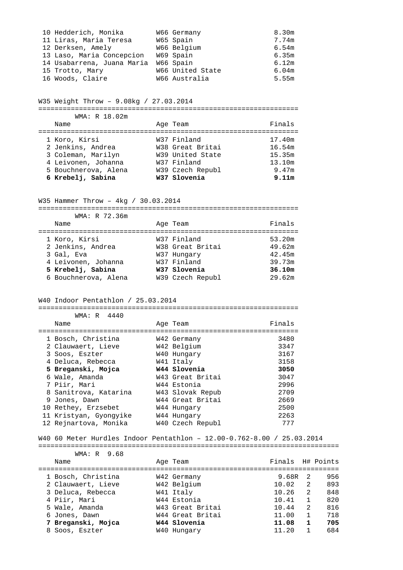| 10 Hedderich, Monika       | W66 Germany      | 8.30m |
|----------------------------|------------------|-------|
| 11 Liras, Maria Teresa     | W65 Spain        | 7.74m |
| 12 Derksen, Amely          | W66 Belgium      | 6.54m |
| 13 Laso, Maria Concepcion  | W69 Spain        | 6.35m |
| 14 Usabarrena, Juana Maria | W66 Spain        | 6.12m |
| 15 Trotto, Mary            | W66 United State | 6.04m |
| 16 Woods, Claire           | W66 Australia    | 5.55m |

W35 Weight Throw – 9.08kg / 27.03.2014

# ================================================================

| WMA: R 18.02m        |                  |        |
|----------------------|------------------|--------|
| Name                 | Age Team         | Finals |
|                      |                  |        |
| 1 Koro, Kirsi        | W37 Finland      | 17.40m |
| 2 Jenkins, Andrea    | W38 Great Britai | 16.54m |
| 3 Coleman, Marilyn   | W39 United State | 15.35m |
| 4 Leivonen, Johanna  | W37 Finland      | 13.10m |
| 5 Bouchnerova, Alena | W39 Czech Republ | 9.47m  |
| 6 Krebelj, Sabina    | W37 Slovenia     | 9.11m  |

W35 Hammer Throw – 4kg / 30.03.2014

================================================================

| WMA: R 72.36m        |                  |        |
|----------------------|------------------|--------|
| Name                 | Age Team         | Finals |
|                      |                  |        |
| 1 Koro, Kirsi        | W37 Finland      | 53.20m |
| 2 Jenkins, Andrea    | W38 Great Britai | 49.62m |
| 3 Gal, Eva           | W37 Hungary      | 42.45m |
| 4 Leivonen, Johanna  | W37 Finland      | 39.73m |
| 5 Krebelj, Sabina    | W37 Slovenia     | 36.10m |
| 6 Bouchnerova, Alena | W39 Czech Republ | 29.62m |

================================================================

#### W40 Indoor Pentathlon / 25.03.2014

| WMA: R 4440            |                  |        |
|------------------------|------------------|--------|
| Name                   | Age Team         | Finals |
|                        |                  |        |
| 1 Bosch, Christina     | W42 Germany      | 3480   |
| 2 Clauwaert, Lieve     | W42 Belgium      | 3347   |
| 3 Soos, Eszter         | W40 Hungary      | 3167   |
| 4 Deluca, Rebecca      | W41 Italy        | 3158   |
| 5 Breganski, Mojca     | W44 Slovenia     | 3050   |
| 6 Wale, Amanda         | W43 Great Britai | 3047   |
| 7 Piir, Mari           | W44 Estonia      | 2996   |
| 8 Sanitrova, Katarina  | W43 Slovak Repub | 2709   |
| 9 Jones, Dawn          | W44 Great Britai | 2669   |
| 10 Rethey, Erzsebet    | W44 Hungary      | 2500   |
| 11 Kristyan, Gyongyike | W44 Hungary      | 2263   |
| 12 Rejnartova, Monika  | W40 Czech Republ | 777    |

W40 60 Meter Hurdles Indoor Pentathlon – 12.00-0.762-8.00 / 25.03.2014

| WMA: R 9.68        |                  |                  |              |     |
|--------------------|------------------|------------------|--------------|-----|
| Name               | Age Team         | Finals H# Points |              |     |
|                    |                  |                  |              |     |
| 1 Bosch, Christina | W42 Germany      | 9.68R            | - 2          | 956 |
| 2 Clauwaert, Lieve | W42 Belgium      | 10.02            | 2            | 893 |
| 3 Deluca, Rebecca  | W41 Italy        | 10.26            | 2            | 848 |
| 4 Piir, Mari       | W44 Estonia      | 10.41            | $\mathbf{1}$ | 820 |
| 5 Wale, Amanda     | W43 Great Britai | 10.44            | 2            | 816 |
| 6 Jones, Dawn      | W44 Great Britai | 11.00            | $\mathbf 1$  | 718 |
| 7 Breganski, Mojca | W44 Slovenia     | 11.08            | 1            | 705 |
| 8 Soos, Eszter     | W40 Hungary      | 11.20            |              | 684 |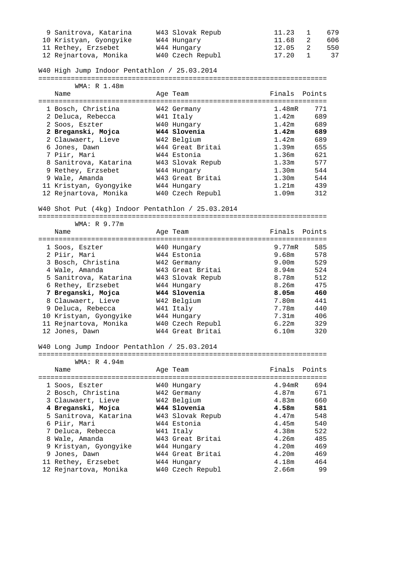| 9 Sanitrova, Katarina  | W43 Slovak Repub | 11.23   | $\mathbf{1}$               | 679 |
|------------------------|------------------|---------|----------------------------|-----|
| 10 Kristyan, Gyongyike | W44 Hungary      | 11.68   | $\overline{\phantom{a}}^2$ | 606 |
| 11 Rethey, Erzsebet    | W44 Hungary      | 12.05   | $\overline{\phantom{0}}$ 2 | 550 |
| 12 Rejnartova, Monika  | W40 Czech Republ | 17.20 1 |                            | 37  |

# W40 High Jump Indoor Pentathlon / 25.03.2014

=======================================================================

| WMA: R 1.48m           |                  |               |     |
|------------------------|------------------|---------------|-----|
| Name                   | Age Team         | Finals Points |     |
|                        |                  |               |     |
| 1 Bosch, Christina     | W42 Germany      | 1.48mR        | 771 |
| 2 Deluca, Rebecca      | W41 Italy        | 1.42m         | 689 |
| 2 Soos, Eszter         | W40 Hungary      | 1.42m         | 689 |
| 2 Breganski, Mojca     | W44 Slovenia     | 1.42m         | 689 |
| 2 Clauwaert, Lieve     | W42 Belgium      | 1.42m         | 689 |
| 6 Jones, Dawn          | W44 Great Britai | 1.39m         | 655 |
| 7 Piir, Mari           | W44 Estonia      | 1.36m         | 621 |
| 8 Sanitrova, Katarina  | W43 Slovak Repub | 1.33m         | 577 |
| 9 Rethey, Erzsebet     | W44 Hungary      | 1.30m         | 544 |
| 9 Wale, Amanda         | W43 Great Britai | 1.30m         | 544 |
| 11 Kristyan, Gyongyike | W44 Hungary      | 1.21m         | 439 |
| 12 Rejnartova, Monika  | W40 Czech Republ | 1.09m         | 312 |

## W40 Shot Put (4kg) Indoor Pentathlon / 25.03.2014

=======================================================================

| WMA: R 9.77m           |                  |               |     |
|------------------------|------------------|---------------|-----|
| Name                   | Age Team         | Finals Points |     |
|                        |                  |               |     |
| 1 Soos, Eszter         | W40 Hungary      | 9.77mR        | 585 |
| 2 Piir, Mari           | W44 Estonia      | 9.68m         | 578 |
| 3 Bosch, Christina     | W42 Germany      | 9.00m         | 529 |
| 4 Wale, Amanda         | W43 Great Britai | 8.94m         | 524 |
| 5 Sanitrova, Katarina  | W43 Slovak Repub | 8.78m         | 512 |
| 6 Rethey, Erzsebet     | W44 Hungary      | 8.26m         | 475 |
| 7 Breganski, Mojca     | W44 Slovenia     | 8.05m         | 460 |
| 8 Clauwaert, Lieve     | W42 Belgium      | 7.80m         | 441 |
| 9 Deluca, Rebecca      | W41 Italy        | 7.78m         | 440 |
| 10 Kristyan, Gyongyike | W44 Hungary      | 7.31m         | 406 |
| 11 Rejnartova, Monika  | W40 Czech Republ | 6.22m         | 329 |
| 12 Jones, Dawn         | W44 Great Britai | 6.10m         | 320 |

#### W40 Long Jump Indoor Pentathlon / 25.03.2014

=======================================================================

WMA: R 4.94m

Name Age Team Finals Points

|  | 1 Soos, Eszter        | W40 Hungary      | $4.94$ mR | 694 |
|--|-----------------------|------------------|-----------|-----|
|  | 2 Bosch, Christina    | W42 Germany      | 4.87m     | 671 |
|  | 3 Clauwaert, Lieve    | W42 Belgium      | 4.83m     | 660 |
|  | 4 Breganski, Mojca    | W44 Slovenia     | 4.58m     | 581 |
|  | 5 Sanitrova, Katarina | W43 Slovak Repub | 4.47m     | 548 |
|  | 6 Piir, Mari          | W44 Estonia      | 4.45m     | 540 |
|  | 7 Deluca, Rebecca     | W41 Italy        | 4.38m     | 522 |
|  | 8 Wale, Amanda        | W43 Great Britai | 4.26m     | 485 |
|  | 9 Kristyan, Gyongyike | W44 Hungary      | 4.20m     | 469 |
|  | 9 Jones, Dawn         | W44 Great Britai | 4.20m     | 469 |
|  | 11 Rethey, Erzsebet   | W44 Hungary      | 4.18m     | 464 |
|  | 12 Rejnartova, Monika | W40 Czech Republ | 2.66m     | 99  |
|  |                       |                  |           |     |